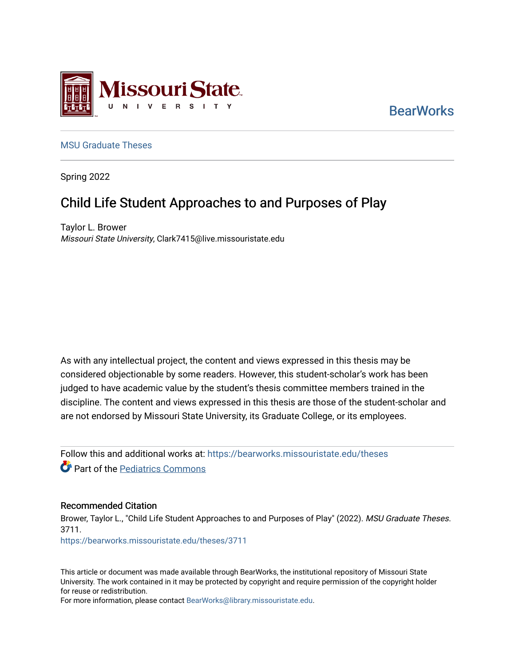

**BearWorks** 

### [MSU Graduate Theses](https://bearworks.missouristate.edu/theses)

Spring 2022

# Child Life Student Approaches to and Purposes of Play

Taylor L. Brower Missouri State University, Clark7415@live.missouristate.edu

As with any intellectual project, the content and views expressed in this thesis may be considered objectionable by some readers. However, this student-scholar's work has been judged to have academic value by the student's thesis committee members trained in the discipline. The content and views expressed in this thesis are those of the student-scholar and are not endorsed by Missouri State University, its Graduate College, or its employees.

Follow this and additional works at: [https://bearworks.missouristate.edu/theses](https://bearworks.missouristate.edu/theses?utm_source=bearworks.missouristate.edu%2Ftheses%2F3711&utm_medium=PDF&utm_campaign=PDFCoverPages)  **Part of the Pediatrics Commons** 

### Recommended Citation

Brower, Taylor L., "Child Life Student Approaches to and Purposes of Play" (2022). MSU Graduate Theses. 3711. [https://bearworks.missouristate.edu/theses/3711](https://bearworks.missouristate.edu/theses/3711?utm_source=bearworks.missouristate.edu%2Ftheses%2F3711&utm_medium=PDF&utm_campaign=PDFCoverPages) 

This article or document was made available through BearWorks, the institutional repository of Missouri State University. The work contained in it may be protected by copyright and require permission of the copyright holder for reuse or redistribution.

For more information, please contact [BearWorks@library.missouristate.edu.](mailto:BearWorks@library.missouristate.edu)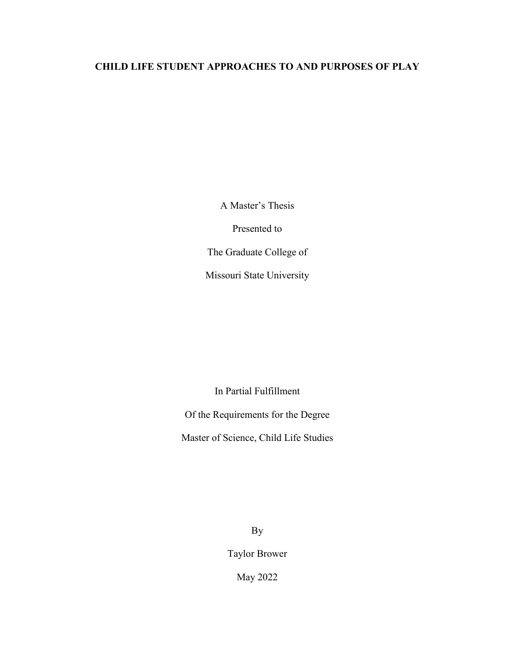## **CHILD LIFE STUDENT APPROACHES TO AND PURPOSES OF PLAY**

A Master's Thesis

Presented to

The Graduate College of

Missouri State University

In Partial Fulfillment

Of the Requirements for the Degree

Master of Science, Child Life Studies

By

Taylor Brower

May 2022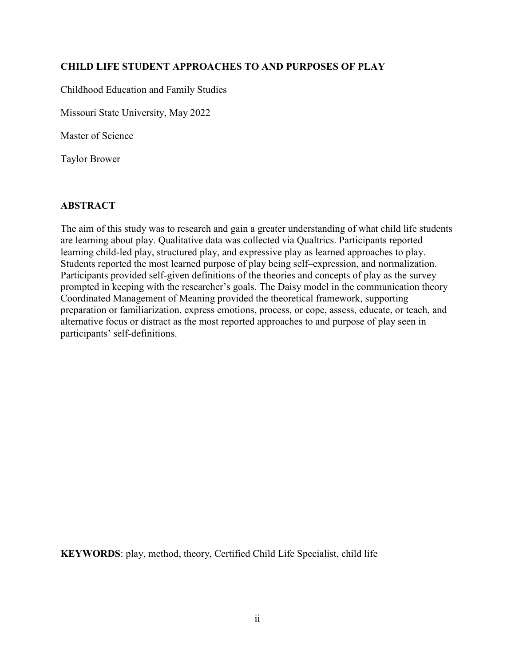## **CHILD LIFE STUDENT APPROACHES TO AND PURPOSES OF PLAY**

Childhood Education and Family Studies

Missouri State University, May 2022

Master of Science

Taylor Brower

## **ABSTRACT**

The aim of this study was to research and gain a greater understanding of what child life students are learning about play. Qualitative data was collected via Qualtrics. Participants reported learning child-led play, structured play, and expressive play as learned approaches to play. Students reported the most learned purpose of play being self–expression, and normalization. Participants provided self-given definitions of the theories and concepts of play as the survey prompted in keeping with the researcher's goals. The Daisy model in the communication theory Coordinated Management of Meaning provided the theoretical framework, supporting preparation or familiarization, express emotions, process, or cope, assess, educate, or teach, and alternative focus or distract as the most reported approaches to and purpose of play seen in participants' self-definitions.

**KEYWORDS**: play, method, theory, Certified Child Life Specialist, child life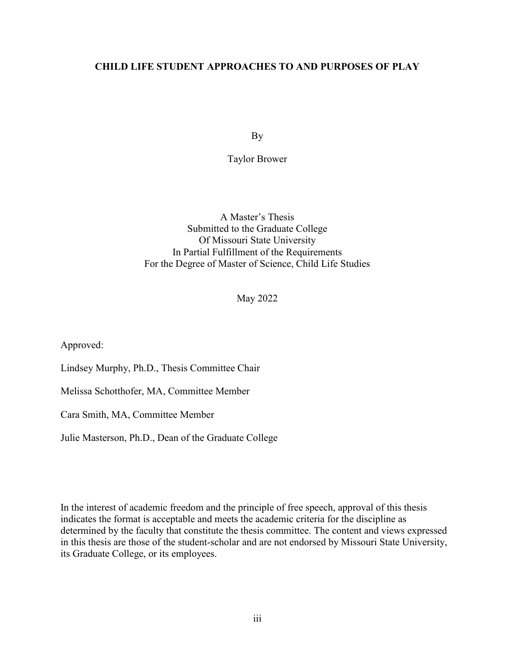## **CHILD LIFE STUDENT APPROACHES TO AND PURPOSES OF PLAY**

By

Taylor Brower

A Master's Thesis Submitted to the Graduate College Of Missouri State University In Partial Fulfillment of the Requirements For the Degree of Master of Science, Child Life Studies

May 2022

Approved:

Lindsey Murphy, Ph.D., Thesis Committee Chair

Melissa Schotthofer, MA, Committee Member

Cara Smith, MA, Committee Member

Julie Masterson, Ph.D., Dean of the Graduate College

In the interest of academic freedom and the principle of free speech, approval of this thesis indicates the format is acceptable and meets the academic criteria for the discipline as determined by the faculty that constitute the thesis committee. The content and views expressed in this thesis are those of the student-scholar and are not endorsed by Missouri State University, its Graduate College, or its employees.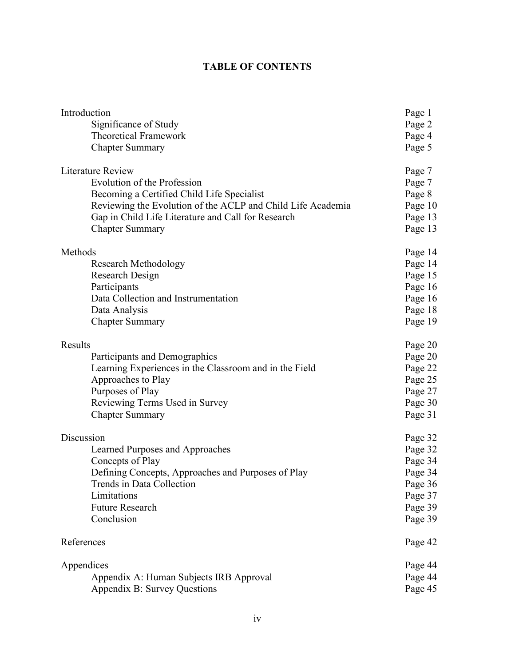## **TABLE OF CONTENTS**

| Introduction                                                | Page 1  |
|-------------------------------------------------------------|---------|
| Significance of Study                                       | Page 2  |
| <b>Theoretical Framework</b>                                | Page 4  |
| <b>Chapter Summary</b>                                      | Page 5  |
| <b>Literature Review</b>                                    | Page 7  |
| Evolution of the Profession                                 | Page 7  |
| Becoming a Certified Child Life Specialist                  | Page 8  |
| Reviewing the Evolution of the ACLP and Child Life Academia | Page 10 |
| Gap in Child Life Literature and Call for Research          | Page 13 |
| <b>Chapter Summary</b>                                      | Page 13 |
| Methods                                                     | Page 14 |
| <b>Research Methodology</b>                                 | Page 14 |
| Research Design                                             | Page 15 |
| Participants                                                | Page 16 |
| Data Collection and Instrumentation                         | Page 16 |
| Data Analysis                                               | Page 18 |
| <b>Chapter Summary</b>                                      | Page 19 |
| Results                                                     | Page 20 |
| Participants and Demographics                               | Page 20 |
| Learning Experiences in the Classroom and in the Field      | Page 22 |
| Approaches to Play                                          | Page 25 |
| Purposes of Play                                            | Page 27 |
| Reviewing Terms Used in Survey                              | Page 30 |
| <b>Chapter Summary</b>                                      | Page 31 |
| Discussion                                                  | Page 32 |
| Learned Purposes and Approaches                             | Page 32 |
| Concepts of Play                                            | Page 34 |
| Defining Concepts, Approaches and Purposes of Play          | Page 34 |
| Trends in Data Collection                                   | Page 36 |
| Limitations                                                 | Page 37 |
| <b>Future Research</b>                                      | Page 39 |
| Conclusion                                                  | Page 39 |
| References                                                  | Page 42 |
| Appendices                                                  | Page 44 |
| Appendix A: Human Subjects IRB Approval                     | Page 44 |
| Appendix B: Survey Questions                                | Page 45 |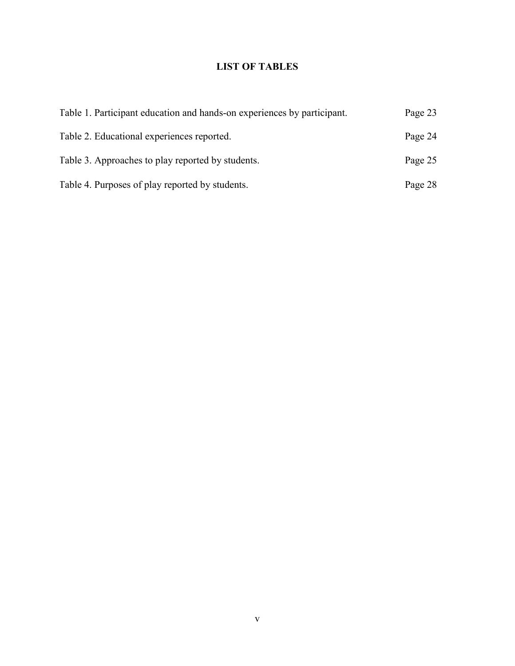## **LIST OF TABLES**

| Table 1. Participant education and hands-on experiences by participant. | Page 23 |
|-------------------------------------------------------------------------|---------|
| Table 2. Educational experiences reported.                              | Page 24 |
| Table 3. Approaches to play reported by students.                       | Page 25 |
| Table 4. Purposes of play reported by students.                         | Page 28 |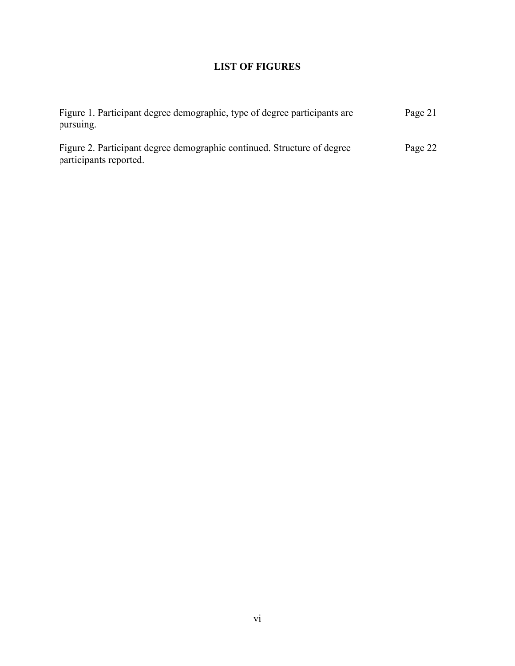## **LIST OF FIGURES**

| Figure 1. Participant degree demographic, type of degree participants are                         | Page 21 |
|---------------------------------------------------------------------------------------------------|---------|
| pursuing.                                                                                         |         |
| Figure 2. Participant degree demographic continued. Structure of degree<br>participants reported. | Page 22 |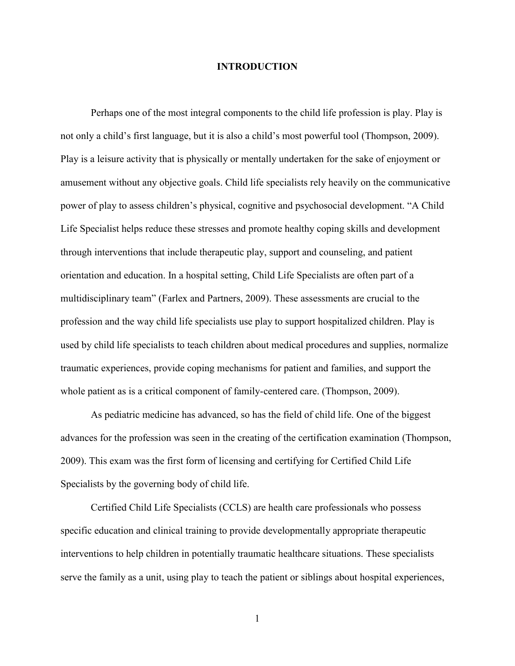#### **INTRODUCTION**

Perhaps one of the most integral components to the child life profession is play. Play is not only a child's first language, but it is also a child's most powerful tool (Thompson, 2009). Play is a leisure activity that is physically or mentally undertaken for the sake of enjoyment or amusement without any objective goals. Child life specialists rely heavily on the communicative power of play to assess children's physical, cognitive and psychosocial development. "A Child Life Specialist helps reduce these stresses and promote healthy coping skills and development through interventions that include therapeutic play, support and counseling, and patient orientation and education. In a hospital setting, Child Life Specialists are often part of a multidisciplinary team" (Farlex and Partners, 2009). These assessments are crucial to the profession and the way child life specialists use play to support hospitalized children. Play is used by child life specialists to teach children about medical procedures and supplies, normalize traumatic experiences, provide coping mechanisms for patient and families, and support the whole patient as is a critical component of family-centered care. (Thompson, 2009).

As pediatric medicine has advanced, so has the field of child life. One of the biggest advances for the profession was seen in the creating of the certification examination (Thompson, 2009). This exam was the first form of licensing and certifying for Certified Child Life Specialists by the governing body of child life.

Certified Child Life Specialists (CCLS) are health care professionals who possess specific education and clinical training to provide developmentally appropriate therapeutic interventions to help children in potentially traumatic healthcare situations. These specialists serve the family as a unit, using play to teach the patient or siblings about hospital experiences,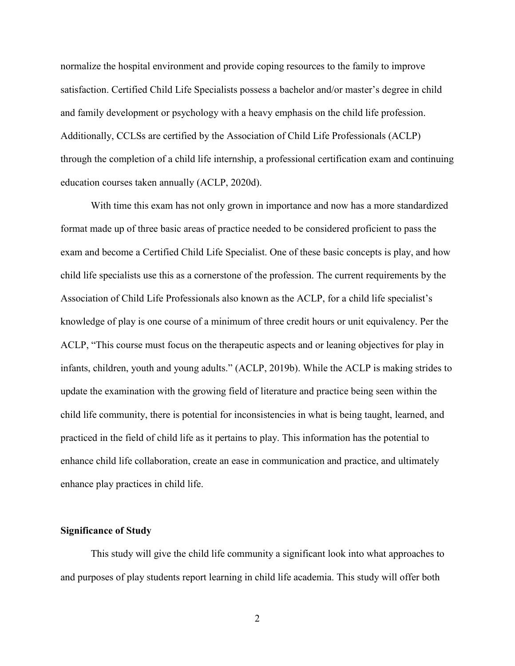normalize the hospital environment and provide coping resources to the family to improve satisfaction. Certified Child Life Specialists possess a bachelor and/or master's degree in child and family development or psychology with a heavy emphasis on the child life profession. Additionally, CCLSs are certified by the Association of Child Life Professionals (ACLP) through the completion of a child life internship, a professional certification exam and continuing education courses taken annually (ACLP, 2020d).

With time this exam has not only grown in importance and now has a more standardized format made up of three basic areas of practice needed to be considered proficient to pass the exam and become a Certified Child Life Specialist. One of these basic concepts is play, and how child life specialists use this as a cornerstone of the profession. The current requirements by the Association of Child Life Professionals also known as the ACLP, for a child life specialist's knowledge of play is one course of a minimum of three credit hours or unit equivalency. Per the ACLP, "This course must focus on the therapeutic aspects and or leaning objectives for play in infants, children, youth and young adults." (ACLP, 2019b). While the ACLP is making strides to update the examination with the growing field of literature and practice being seen within the child life community, there is potential for inconsistencies in what is being taught, learned, and practiced in the field of child life as it pertains to play. This information has the potential to enhance child life collaboration, create an ease in communication and practice, and ultimately enhance play practices in child life.

#### **Significance of Study**

This study will give the child life community a significant look into what approaches to and purposes of play students report learning in child life academia. This study will offer both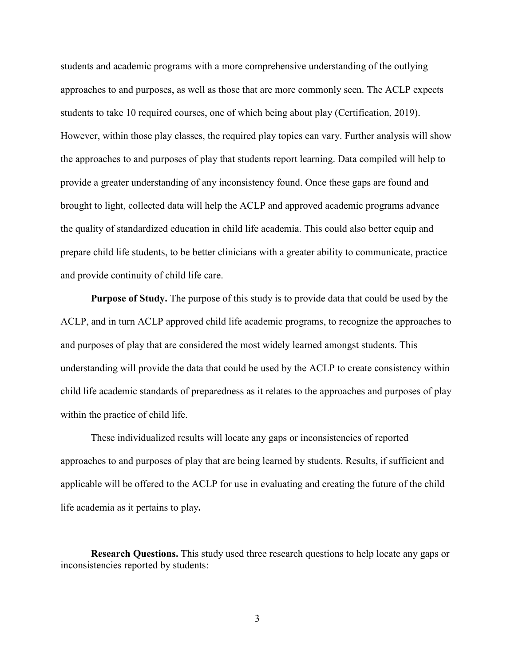students and academic programs with a more comprehensive understanding of the outlying approaches to and purposes, as well as those that are more commonly seen. The ACLP expects students to take 10 required courses, one of which being about play (Certification, 2019). However, within those play classes, the required play topics can vary. Further analysis will show the approaches to and purposes of play that students report learning. Data compiled will help to provide a greater understanding of any inconsistency found. Once these gaps are found and brought to light, collected data will help the ACLP and approved academic programs advance the quality of standardized education in child life academia. This could also better equip and prepare child life students, to be better clinicians with a greater ability to communicate, practice and provide continuity of child life care.

**Purpose of Study.** The purpose of this study is to provide data that could be used by the ACLP, and in turn ACLP approved child life academic programs, to recognize the approaches to and purposes of play that are considered the most widely learned amongst students. This understanding will provide the data that could be used by the ACLP to create consistency within child life academic standards of preparedness as it relates to the approaches and purposes of play within the practice of child life.

These individualized results will locate any gaps or inconsistencies of reported approaches to and purposes of play that are being learned by students. Results, if sufficient and applicable will be offered to the ACLP for use in evaluating and creating the future of the child life academia as it pertains to play**.**

**Research Questions.** This study used three research questions to help locate any gaps or inconsistencies reported by students: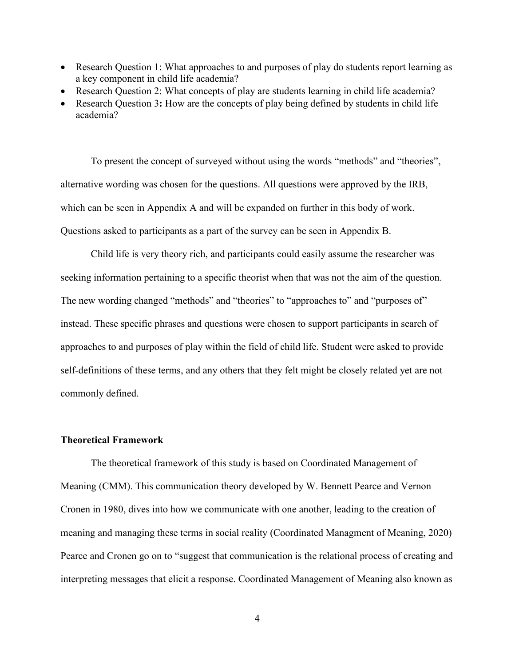- Research Question 1: What approaches to and purposes of play do students report learning as a key component in child life academia?
- Research Question 2: What concepts of play are students learning in child life academia?
- Research Question 3**:** How are the concepts of play being defined by students in child life academia?

To present the concept of surveyed without using the words "methods" and "theories", alternative wording was chosen for the questions. All questions were approved by the IRB, which can be seen in Appendix A and will be expanded on further in this body of work. Questions asked to participants as a part of the survey can be seen in Appendix B.

Child life is very theory rich, and participants could easily assume the researcher was seeking information pertaining to a specific theorist when that was not the aim of the question. The new wording changed "methods" and "theories" to "approaches to" and "purposes of" instead. These specific phrases and questions were chosen to support participants in search of approaches to and purposes of play within the field of child life. Student were asked to provide self-definitions of these terms, and any others that they felt might be closely related yet are not commonly defined.

#### **Theoretical Framework**

The theoretical framework of this study is based on Coordinated Management of Meaning (CMM). This communication theory developed by W. Bennett Pearce and Vernon Cronen in 1980, dives into how we communicate with one another, leading to the creation of meaning and managing these terms in social reality (Coordinated Managment of Meaning, 2020) Pearce and Cronen go on to "suggest that communication is the relational process of creating and interpreting messages that elicit a response. Coordinated Management of Meaning also known as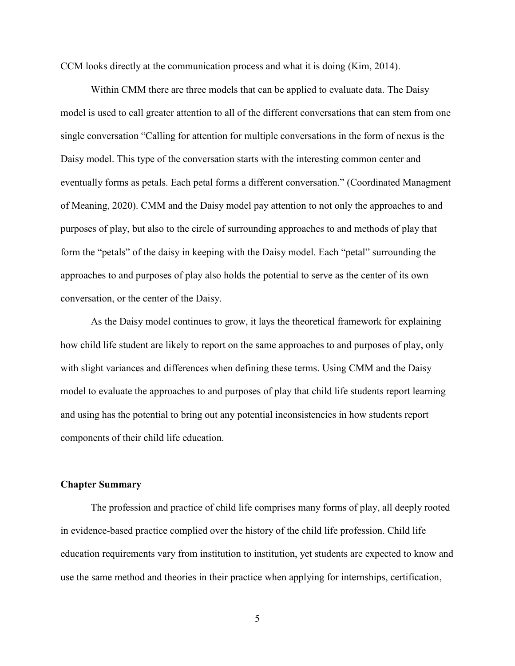CCM looks directly at the communication process and what it is doing (Kim, 2014).

Within CMM there are three models that can be applied to evaluate data. The Daisy model is used to call greater attention to all of the different conversations that can stem from one single conversation "Calling for attention for multiple conversations in the form of nexus is the Daisy model. This type of the conversation starts with the interesting common center and eventually forms as petals. Each petal forms a different conversation." (Coordinated Managment of Meaning, 2020). CMM and the Daisy model pay attention to not only the approaches to and purposes of play, but also to the circle of surrounding approaches to and methods of play that form the "petals" of the daisy in keeping with the Daisy model. Each "petal" surrounding the approaches to and purposes of play also holds the potential to serve as the center of its own conversation, or the center of the Daisy.

As the Daisy model continues to grow, it lays the theoretical framework for explaining how child life student are likely to report on the same approaches to and purposes of play, only with slight variances and differences when defining these terms. Using CMM and the Daisy model to evaluate the approaches to and purposes of play that child life students report learning and using has the potential to bring out any potential inconsistencies in how students report components of their child life education.

### **Chapter Summary**

The profession and practice of child life comprises many forms of play, all deeply rooted in evidence-based practice complied over the history of the child life profession. Child life education requirements vary from institution to institution, yet students are expected to know and use the same method and theories in their practice when applying for internships, certification,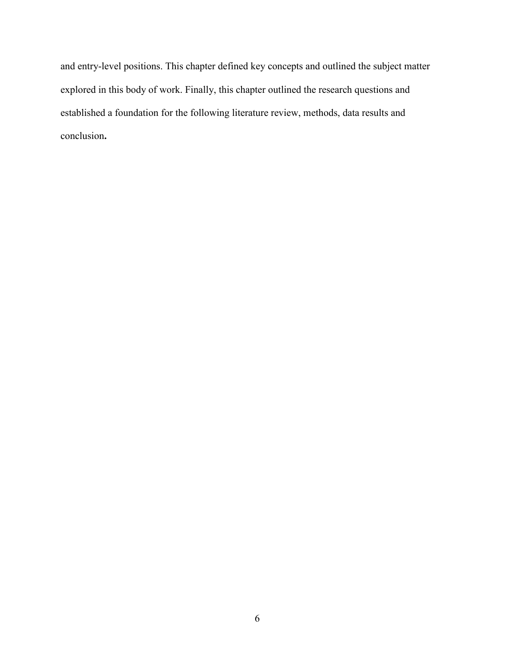and entry-level positions. This chapter defined key concepts and outlined the subject matter explored in this body of work. Finally, this chapter outlined the research questions and established a foundation for the following literature review, methods, data results and conclusion**.**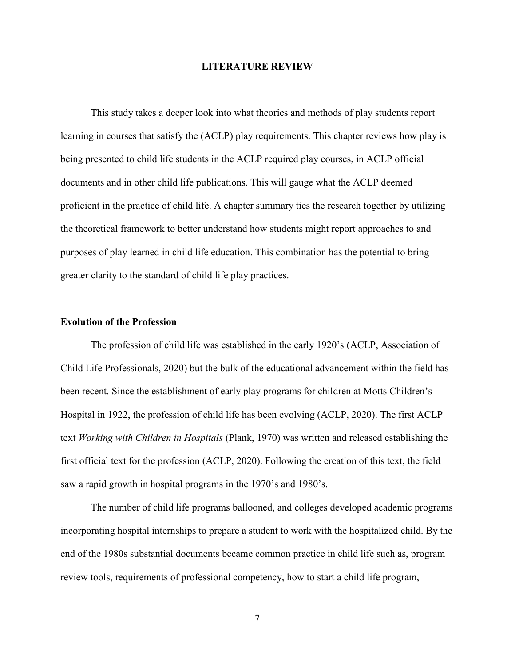#### **LITERATURE REVIEW**

This study takes a deeper look into what theories and methods of play students report learning in courses that satisfy the (ACLP) play requirements. This chapter reviews how play is being presented to child life students in the ACLP required play courses, in ACLP official documents and in other child life publications. This will gauge what the ACLP deemed proficient in the practice of child life. A chapter summary ties the research together by utilizing the theoretical framework to better understand how students might report approaches to and purposes of play learned in child life education. This combination has the potential to bring greater clarity to the standard of child life play practices.

#### **Evolution of the Profession**

The profession of child life was established in the early 1920's (ACLP, Association of Child Life Professionals, 2020) but the bulk of the educational advancement within the field has been recent. Since the establishment of early play programs for children at Motts Children's Hospital in 1922, the profession of child life has been evolving (ACLP, 2020). The first ACLP text *Working with Children in Hospitals* (Plank, 1970) was written and released establishing the first official text for the profession (ACLP, 2020). Following the creation of this text, the field saw a rapid growth in hospital programs in the 1970's and 1980's.

The number of child life programs ballooned, and colleges developed academic programs incorporating hospital internships to prepare a student to work with the hospitalized child. By the end of the 1980s substantial documents became common practice in child life such as, program review tools, requirements of professional competency, how to start a child life program,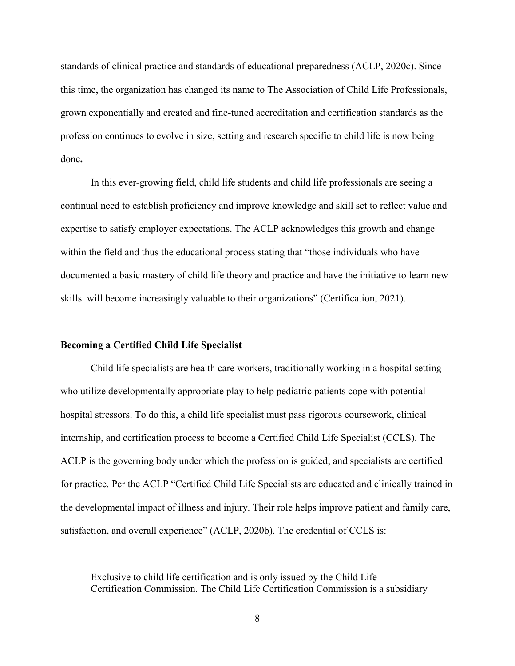standards of clinical practice and standards of educational preparedness (ACLP, 2020c). Since this time, the organization has changed its name to The Association of Child Life Professionals, grown exponentially and created and fine-tuned accreditation and certification standards as the profession continues to evolve in size, setting and research specific to child life is now being done**.**

In this ever-growing field, child life students and child life professionals are seeing a continual need to establish proficiency and improve knowledge and skill set to reflect value and expertise to satisfy employer expectations. The ACLP acknowledges this growth and change within the field and thus the educational process stating that "those individuals who have documented a basic mastery of child life theory and practice and have the initiative to learn new skills–will become increasingly valuable to their organizations" (Certification, 2021).

#### **Becoming a Certified Child Life Specialist**

Child life specialists are health care workers, traditionally working in a hospital setting who utilize developmentally appropriate play to help pediatric patients cope with potential hospital stressors. To do this, a child life specialist must pass rigorous coursework, clinical internship, and certification process to become a Certified Child Life Specialist (CCLS). The ACLP is the governing body under which the profession is guided, and specialists are certified for practice. Per the ACLP "Certified Child Life Specialists are educated and clinically trained in the developmental impact of illness and injury. Their role helps improve patient and family care, satisfaction, and overall experience" (ACLP, 2020b). The credential of CCLS is:

Exclusive to child life certification and is only issued by the Child Life Certification Commission. The Child Life Certification Commission is a subsidiary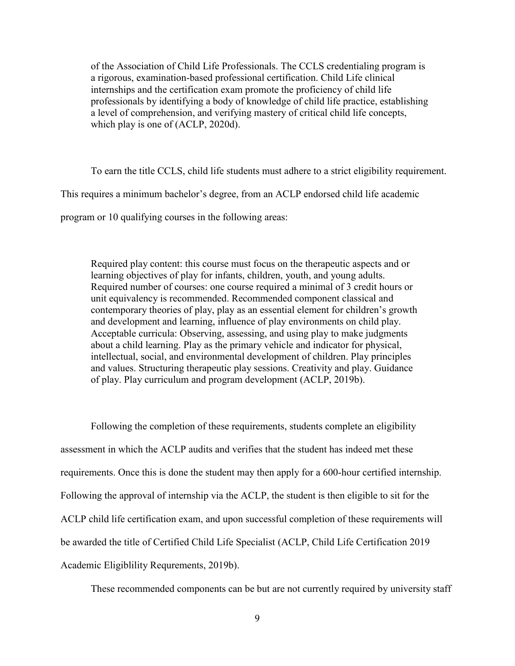of the Association of Child Life Professionals. The CCLS credentialing program is a rigorous, examination-based professional certification. Child Life clinical internships and the certification exam promote the proficiency of child life professionals by identifying a body of knowledge of child life practice, establishing a level of comprehension, and verifying mastery of critical child life concepts, which play is one of (ACLP, 2020d).

To earn the title CCLS, child life students must adhere to a strict eligibility requirement. This requires a minimum bachelor's degree, from an ACLP endorsed child life academic program or 10 qualifying courses in the following areas:

Required play content: this course must focus on the therapeutic aspects and or learning objectives of play for infants, children, youth, and young adults. Required number of courses: one course required a minimal of 3 credit hours or unit equivalency is recommended. Recommended component classical and contemporary theories of play, play as an essential element for children's growth and development and learning, influence of play environments on child play. Acceptable curricula: Observing, assessing, and using play to make judgments about a child learning. Play as the primary vehicle and indicator for physical, intellectual, social, and environmental development of children. Play principles and values. Structuring therapeutic play sessions. Creativity and play. Guidance of play. Play curriculum and program development (ACLP, 2019b).

Following the completion of these requirements, students complete an eligibility assessment in which the ACLP audits and verifies that the student has indeed met these requirements. Once this is done the student may then apply for a 600-hour certified internship. Following the approval of internship via the ACLP, the student is then eligible to sit for the ACLP child life certification exam, and upon successful completion of these requirements will be awarded the title of Certified Child Life Specialist (ACLP, Child Life Certification 2019 Academic Eligiblility Requrements, 2019b).

These recommended components can be but are not currently required by university staff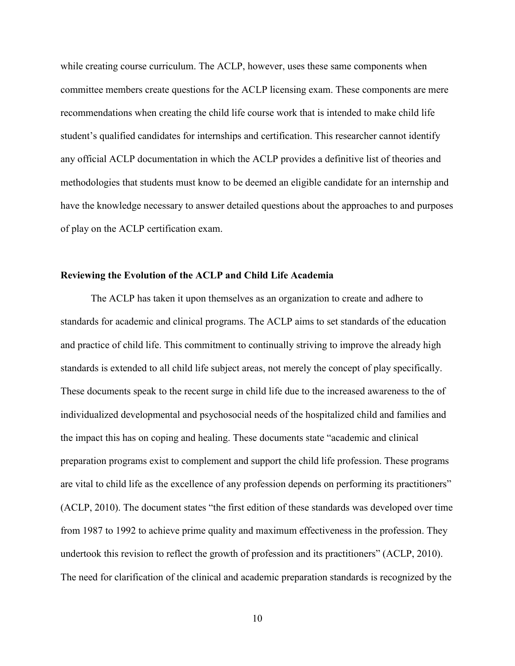while creating course curriculum. The ACLP, however, uses these same components when committee members create questions for the ACLP licensing exam. These components are mere recommendations when creating the child life course work that is intended to make child life student's qualified candidates for internships and certification. This researcher cannot identify any official ACLP documentation in which the ACLP provides a definitive list of theories and methodologies that students must know to be deemed an eligible candidate for an internship and have the knowledge necessary to answer detailed questions about the approaches to and purposes of play on the ACLP certification exam.

#### **Reviewing the Evolution of the ACLP and Child Life Academia**

The ACLP has taken it upon themselves as an organization to create and adhere to standards for academic and clinical programs. The ACLP aims to set standards of the education and practice of child life. This commitment to continually striving to improve the already high standards is extended to all child life subject areas, not merely the concept of play specifically. These documents speak to the recent surge in child life due to the increased awareness to the of individualized developmental and psychosocial needs of the hospitalized child and families and the impact this has on coping and healing. These documents state "academic and clinical preparation programs exist to complement and support the child life profession. These programs are vital to child life as the excellence of any profession depends on performing its practitioners" (ACLP, 2010). The document states "the first edition of these standards was developed over time from 1987 to 1992 to achieve prime quality and maximum effectiveness in the profession. They undertook this revision to reflect the growth of profession and its practitioners" (ACLP, 2010). The need for clarification of the clinical and academic preparation standards is recognized by the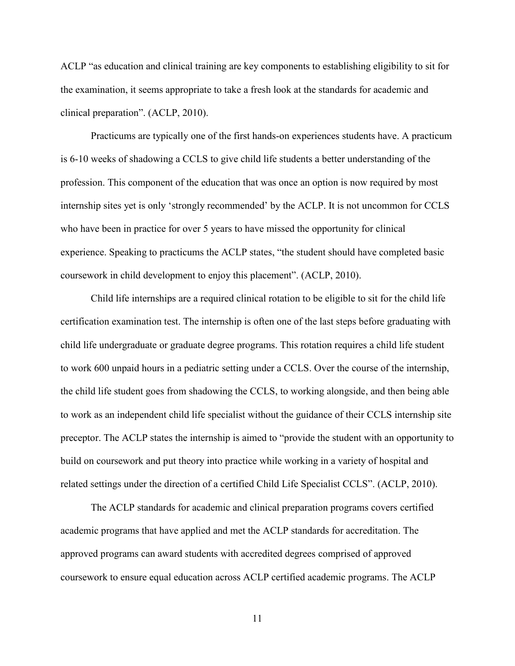ACLP "as education and clinical training are key components to establishing eligibility to sit for the examination, it seems appropriate to take a fresh look at the standards for academic and clinical preparation". (ACLP, 2010).

Practicums are typically one of the first hands-on experiences students have. A practicum is 6-10 weeks of shadowing a CCLS to give child life students a better understanding of the profession. This component of the education that was once an option is now required by most internship sites yet is only 'strongly recommended' by the ACLP. It is not uncommon for CCLS who have been in practice for over 5 years to have missed the opportunity for clinical experience. Speaking to practicums the ACLP states, "the student should have completed basic coursework in child development to enjoy this placement". (ACLP, 2010).

Child life internships are a required clinical rotation to be eligible to sit for the child life certification examination test. The internship is often one of the last steps before graduating with child life undergraduate or graduate degree programs. This rotation requires a child life student to work 600 unpaid hours in a pediatric setting under a CCLS. Over the course of the internship, the child life student goes from shadowing the CCLS, to working alongside, and then being able to work as an independent child life specialist without the guidance of their CCLS internship site preceptor. The ACLP states the internship is aimed to "provide the student with an opportunity to build on coursework and put theory into practice while working in a variety of hospital and related settings under the direction of a certified Child Life Specialist CCLS". (ACLP, 2010).

The ACLP standards for academic and clinical preparation programs covers certified academic programs that have applied and met the ACLP standards for accreditation. The approved programs can award students with accredited degrees comprised of approved coursework to ensure equal education across ACLP certified academic programs. The ACLP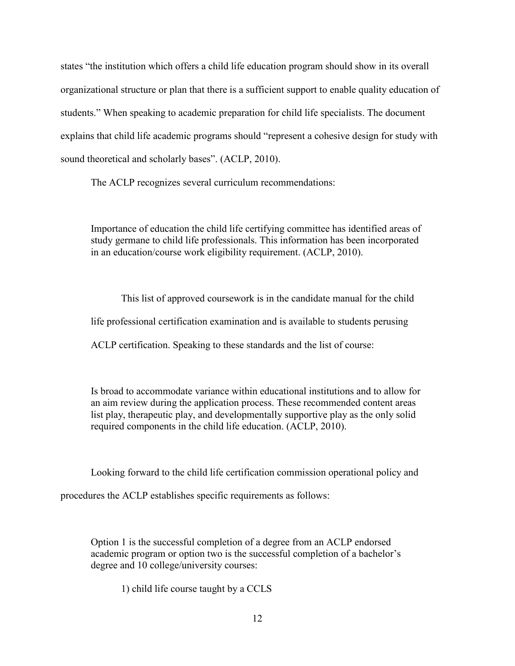states "the institution which offers a child life education program should show in its overall organizational structure or plan that there is a sufficient support to enable quality education of students." When speaking to academic preparation for child life specialists. The document explains that child life academic programs should "represent a cohesive design for study with sound theoretical and scholarly bases". (ACLP, 2010).

The ACLP recognizes several curriculum recommendations:

Importance of education the child life certifying committee has identified areas of study germane to child life professionals. This information has been incorporated in an education/course work eligibility requirement. (ACLP, 2010).

This list of approved coursework is in the candidate manual for the child life professional certification examination and is available to students perusing ACLP certification. Speaking to these standards and the list of course:

Is broad to accommodate variance within educational institutions and to allow for an aim review during the application process. These recommended content areas list play, therapeutic play, and developmentally supportive play as the only solid required components in the child life education. (ACLP, 2010).

Looking forward to the child life certification commission operational policy and

procedures the ACLP establishes specific requirements as follows:

Option 1 is the successful completion of a degree from an ACLP endorsed academic program or option two is the successful completion of a bachelor's degree and 10 college/university courses:

1) child life course taught by a CCLS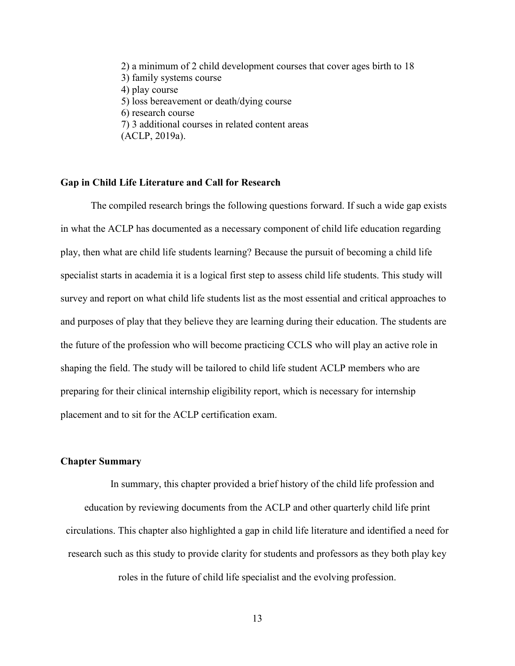2) a minimum of 2 child development courses that cover ages birth to 18 3) family systems course 4) play course 5) loss bereavement or death/dying course 6) research course 7) 3 additional courses in related content areas (ACLP, 2019a).

#### **Gap in Child Life Literature and Call for Research**

The compiled research brings the following questions forward. If such a wide gap exists in what the ACLP has documented as a necessary component of child life education regarding play, then what are child life students learning? Because the pursuit of becoming a child life specialist starts in academia it is a logical first step to assess child life students. This study will survey and report on what child life students list as the most essential and critical approaches to and purposes of play that they believe they are learning during their education. The students are the future of the profession who will become practicing CCLS who will play an active role in shaping the field. The study will be tailored to child life student ACLP members who are preparing for their clinical internship eligibility report, which is necessary for internship placement and to sit for the ACLP certification exam.

#### **Chapter Summary**

In summary, this chapter provided a brief history of the child life profession and education by reviewing documents from the ACLP and other quarterly child life print circulations. This chapter also highlighted a gap in child life literature and identified a need for research such as this study to provide clarity for students and professors as they both play key roles in the future of child life specialist and the evolving profession.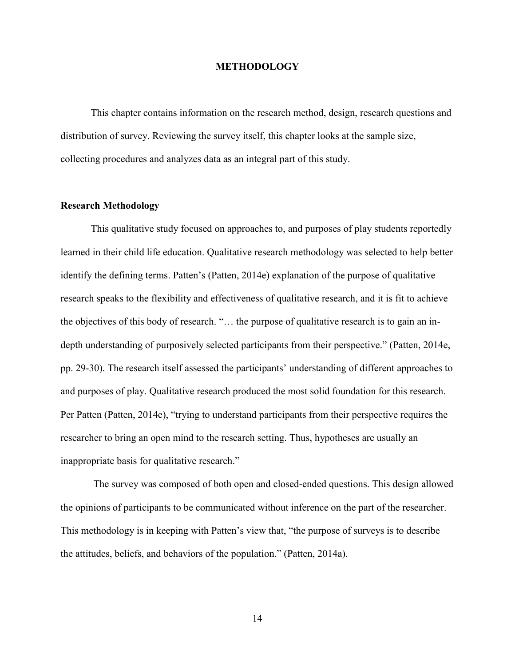#### **METHODOLOGY**

This chapter contains information on the research method, design, research questions and distribution of survey. Reviewing the survey itself, this chapter looks at the sample size, collecting procedures and analyzes data as an integral part of this study.

#### **Research Methodology**

This qualitative study focused on approaches to, and purposes of play students reportedly learned in their child life education. Qualitative research methodology was selected to help better identify the defining terms. Patten's (Patten, 2014e) explanation of the purpose of qualitative research speaks to the flexibility and effectiveness of qualitative research, and it is fit to achieve the objectives of this body of research. "… the purpose of qualitative research is to gain an indepth understanding of purposively selected participants from their perspective." (Patten, 2014e, pp. 29-30). The research itself assessed the participants' understanding of different approaches to and purposes of play. Qualitative research produced the most solid foundation for this research. Per Patten (Patten, 2014e), "trying to understand participants from their perspective requires the researcher to bring an open mind to the research setting. Thus, hypotheses are usually an inappropriate basis for qualitative research."

The survey was composed of both open and closed-ended questions. This design allowed the opinions of participants to be communicated without inference on the part of the researcher. This methodology is in keeping with Patten's view that, "the purpose of surveys is to describe the attitudes, beliefs, and behaviors of the population." (Patten, 2014a).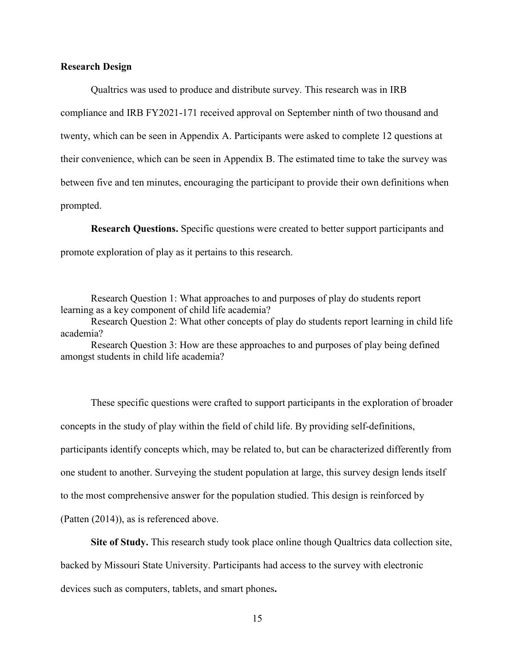#### **Research Design**

Qualtrics was used to produce and distribute survey. This research was in IRB compliance and IRB FY2021-171 received approval on September ninth of two thousand and twenty, which can be seen in Appendix A. Participants were asked to complete 12 questions at their convenience, which can be seen in Appendix B. The estimated time to take the survey was between five and ten minutes, encouraging the participant to provide their own definitions when prompted.

**Research Questions.** Specific questions were created to better support participants and promote exploration of play as it pertains to this research.

Research Question 1: What approaches to and purposes of play do students report learning as a key component of child life academia?

Research Question 2: What other concepts of play do students report learning in child life academia?

Research Question 3: How are these approaches to and purposes of play being defined amongst students in child life academia?

These specific questions were crafted to support participants in the exploration of broader concepts in the study of play within the field of child life. By providing self-definitions, participants identify concepts which, may be related to, but can be characterized differently from one student to another. Surveying the student population at large, this survey design lends itself to the most comprehensive answer for the population studied. This design is reinforced by (Patten (2014)), as is referenced above.

**Site of Study.** This research study took place online though Qualtrics data collection site, backed by Missouri State University. Participants had access to the survey with electronic devices such as computers, tablets, and smart phones**.**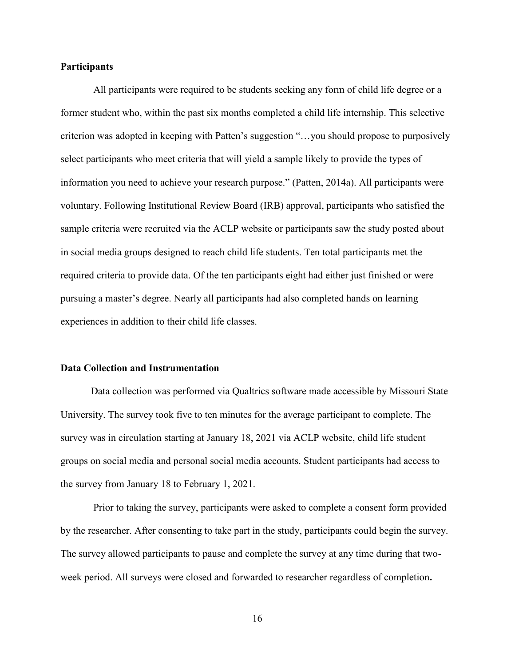#### **Participants**

All participants were required to be students seeking any form of child life degree or a former student who, within the past six months completed a child life internship. This selective criterion was adopted in keeping with Patten's suggestion "…you should propose to purposively select participants who meet criteria that will yield a sample likely to provide the types of information you need to achieve your research purpose." (Patten, 2014a). All participants were voluntary. Following Institutional Review Board (IRB) approval, participants who satisfied the sample criteria were recruited via the ACLP website or participants saw the study posted about in social media groups designed to reach child life students. Ten total participants met the required criteria to provide data. Of the ten participants eight had either just finished or were pursuing a master's degree. Nearly all participants had also completed hands on learning experiences in addition to their child life classes.

#### **Data Collection and Instrumentation**

Data collection was performed via Qualtrics software made accessible by Missouri State University. The survey took five to ten minutes for the average participant to complete. The survey was in circulation starting at January 18, 2021 via ACLP website, child life student groups on social media and personal social media accounts. Student participants had access to the survey from January 18 to February 1, 2021.

Prior to taking the survey, participants were asked to complete a consent form provided by the researcher. After consenting to take part in the study, participants could begin the survey. The survey allowed participants to pause and complete the survey at any time during that twoweek period. All surveys were closed and forwarded to researcher regardless of completion**.**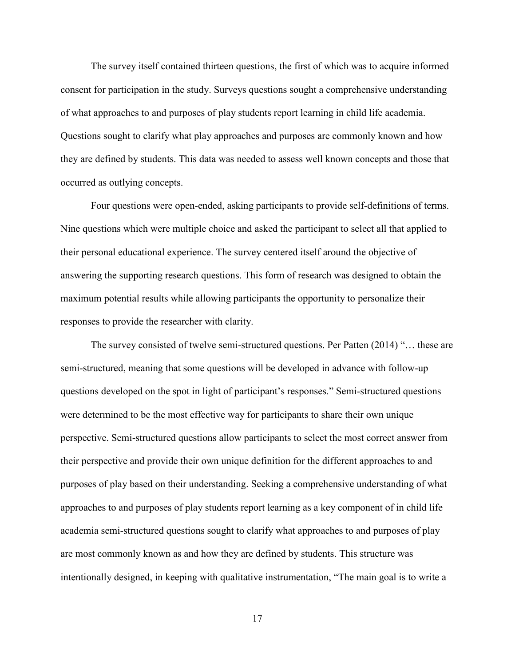The survey itself contained thirteen questions, the first of which was to acquire informed consent for participation in the study. Surveys questions sought a comprehensive understanding of what approaches to and purposes of play students report learning in child life academia. Questions sought to clarify what play approaches and purposes are commonly known and how they are defined by students. This data was needed to assess well known concepts and those that occurred as outlying concepts.

Four questions were open-ended, asking participants to provide self-definitions of terms. Nine questions which were multiple choice and asked the participant to select all that applied to their personal educational experience. The survey centered itself around the objective of answering the supporting research questions. This form of research was designed to obtain the maximum potential results while allowing participants the opportunity to personalize their responses to provide the researcher with clarity.

The survey consisted of twelve semi-structured questions. Per Patten (2014) "… these are semi-structured, meaning that some questions will be developed in advance with follow-up questions developed on the spot in light of participant's responses." Semi-structured questions were determined to be the most effective way for participants to share their own unique perspective. Semi-structured questions allow participants to select the most correct answer from their perspective and provide their own unique definition for the different approaches to and purposes of play based on their understanding. Seeking a comprehensive understanding of what approaches to and purposes of play students report learning as a key component of in child life academia semi-structured questions sought to clarify what approaches to and purposes of play are most commonly known as and how they are defined by students. This structure was intentionally designed, in keeping with qualitative instrumentation, "The main goal is to write a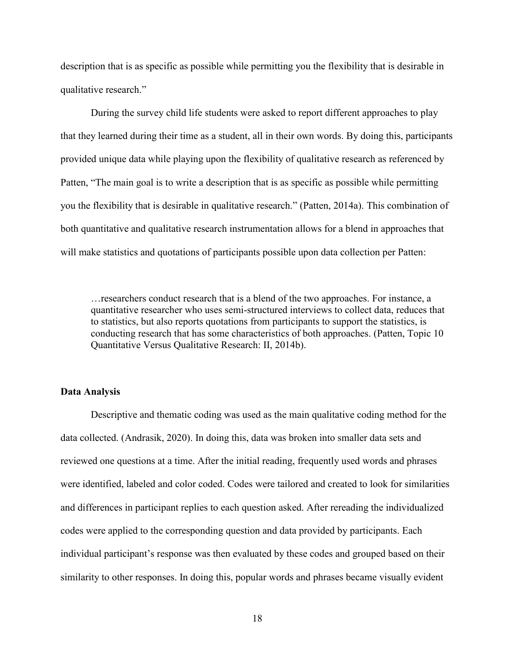description that is as specific as possible while permitting you the flexibility that is desirable in qualitative research."

During the survey child life students were asked to report different approaches to play that they learned during their time as a student, all in their own words. By doing this, participants provided unique data while playing upon the flexibility of qualitative research as referenced by Patten, "The main goal is to write a description that is as specific as possible while permitting you the flexibility that is desirable in qualitative research." (Patten, 2014a). This combination of both quantitative and qualitative research instrumentation allows for a blend in approaches that will make statistics and quotations of participants possible upon data collection per Patten:

…researchers conduct research that is a blend of the two approaches. For instance, a quantitative researcher who uses semi-structured interviews to collect data, reduces that to statistics, but also reports quotations from participants to support the statistics, is conducting research that has some characteristics of both approaches. (Patten, Topic 10 Quantitative Versus Qualitative Research: II, 2014b).

#### **Data Analysis**

Descriptive and thematic coding was used as the main qualitative coding method for the data collected. (Andrasik, 2020). In doing this, data was broken into smaller data sets and reviewed one questions at a time. After the initial reading, frequently used words and phrases were identified, labeled and color coded. Codes were tailored and created to look for similarities and differences in participant replies to each question asked. After rereading the individualized codes were applied to the corresponding question and data provided by participants. Each individual participant's response was then evaluated by these codes and grouped based on their similarity to other responses. In doing this, popular words and phrases became visually evident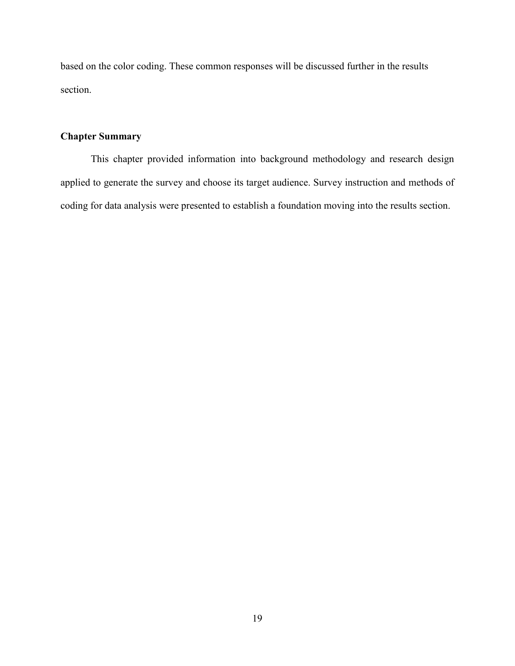based on the color coding. These common responses will be discussed further in the results section.

## **Chapter Summary**

This chapter provided information into background methodology and research design applied to generate the survey and choose its target audience. Survey instruction and methods of coding for data analysis were presented to establish a foundation moving into the results section.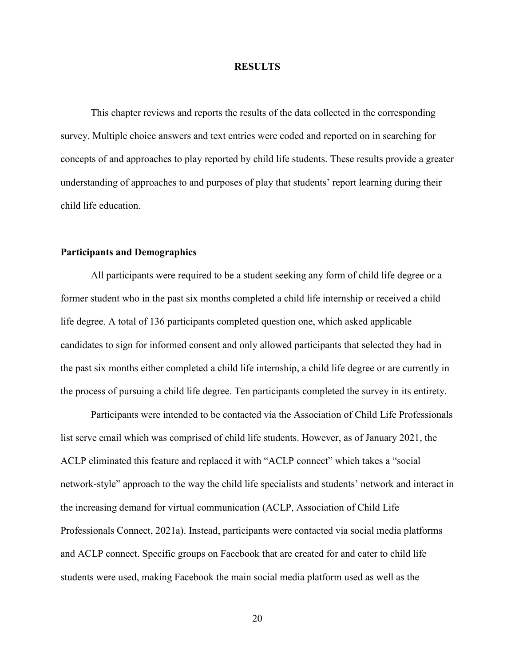#### **RESULTS**

This chapter reviews and reports the results of the data collected in the corresponding survey. Multiple choice answers and text entries were coded and reported on in searching for concepts of and approaches to play reported by child life students. These results provide a greater understanding of approaches to and purposes of play that students' report learning during their child life education.

#### **Participants and Demographics**

All participants were required to be a student seeking any form of child life degree or a former student who in the past six months completed a child life internship or received a child life degree. A total of 136 participants completed question one, which asked applicable candidates to sign for informed consent and only allowed participants that selected they had in the past six months either completed a child life internship, a child life degree or are currently in the process of pursuing a child life degree. Ten participants completed the survey in its entirety.

Participants were intended to be contacted via the Association of Child Life Professionals list serve email which was comprised of child life students. However, as of January 2021, the ACLP eliminated this feature and replaced it with "ACLP connect" which takes a "social network-style" approach to the way the child life specialists and students' network and interact in the increasing demand for virtual communication (ACLP, Association of Child Life Professionals Connect, 2021a). Instead, participants were contacted via social media platforms and ACLP connect. Specific groups on Facebook that are created for and cater to child life students were used, making Facebook the main social media platform used as well as the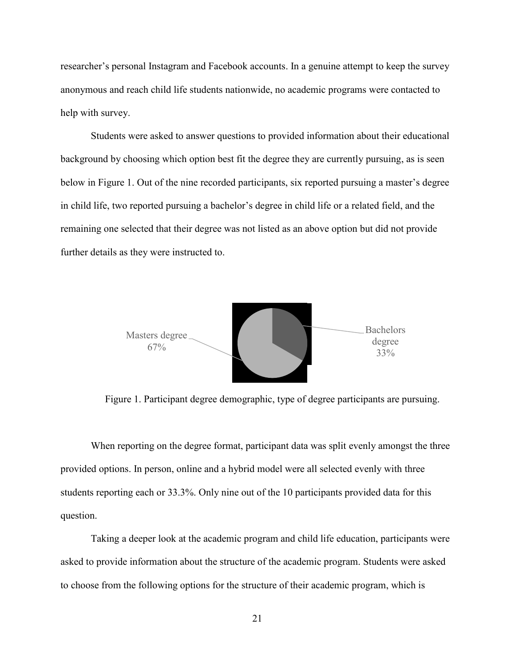researcher's personal Instagram and Facebook accounts. In a genuine attempt to keep the survey anonymous and reach child life students nationwide, no academic programs were contacted to help with survey.

Students were asked to answer questions to provided information about their educational background by choosing which option best fit the degree they are currently pursuing, as is seen below in Figure 1. Out of the nine recorded participants, six reported pursuing a master's degree in child life, two reported pursuing a bachelor's degree in child life or a related field, and the remaining one selected that their degree was not listed as an above option but did not provide further details as they were instructed to.



Figure 1. Participant degree demographic, type of degree participants are pursuing.

When reporting on the degree format, participant data was split evenly amongst the three provided options. In person, online and a hybrid model were all selected evenly with three students reporting each or 33.3%. Only nine out of the 10 participants provided data for this question.

Taking a deeper look at the academic program and child life education, participants were asked to provide information about the structure of the academic program. Students were asked to choose from the following options for the structure of their academic program, which is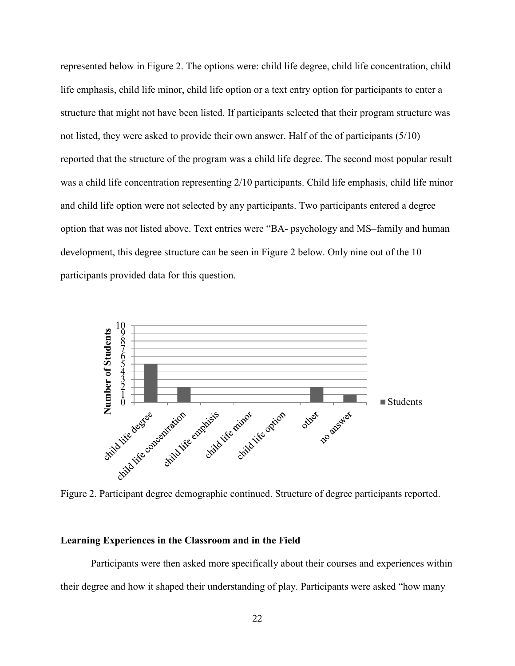represented below in Figure 2. The options were: child life degree, child life concentration, child life emphasis, child life minor, child life option or a text entry option for participants to enter a structure that might not have been listed. If participants selected that their program structure was not listed, they were asked to provide their own answer. Half of the of participants (5/10) reported that the structure of the program was a child life degree. The second most popular result was a child life concentration representing 2/10 participants. Child life emphasis, child life minor and child life option were not selected by any participants. Two participants entered a degree option that was not listed above. Text entries were "BA- psychology and MS–family and human development, this degree structure can be seen in Figure 2 below. Only nine out of the 10 participants provided data for this question.



Figure 2. Participant degree demographic continued. Structure of degree participants reported.

#### **Learning Experiences in the Classroom and in the Field**

Participants were then asked more specifically about their courses and experiences within their degree and how it shaped their understanding of play. Participants were asked "how many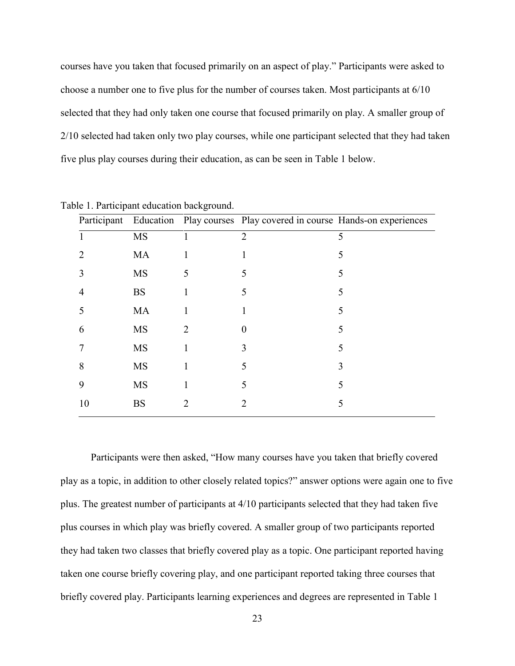courses have you taken that focused primarily on an aspect of play." Participants were asked to choose a number one to five plus for the number of courses taken. Most participants at 6/10 selected that they had only taken one course that focused primarily on play. A smaller group of 2/10 selected had taken only two play courses, while one participant selected that they had taken five plus play courses during their education, as can be seen in Table 1 below.

|    |           |              | Participant Education Play courses Play covered in course Hands-on experiences |   |
|----|-----------|--------------|--------------------------------------------------------------------------------|---|
|    | MS        |              | $\overline{2}$                                                                 | 5 |
| 2  | MA        |              |                                                                                | 5 |
| 3  | MS        | 5            |                                                                                | ད |
| 4  | <b>BS</b> |              | 5                                                                              | 5 |
|    | <b>MA</b> |              |                                                                                | 5 |
| 6  | MS        | 2            | $\theta$                                                                       |   |
|    | <b>MS</b> |              | 3                                                                              | 5 |
| 8  | MS        | $\mathbf{I}$ |                                                                                | 3 |
| 9  | MS        |              | 5                                                                              | 5 |
| 10 | <b>BS</b> |              |                                                                                |   |
|    |           |              |                                                                                |   |

Table 1. Participant education background.

Participants were then asked, "How many courses have you taken that briefly covered play as a topic, in addition to other closely related topics?" answer options were again one to five plus. The greatest number of participants at 4/10 participants selected that they had taken five plus courses in which play was briefly covered. A smaller group of two participants reported they had taken two classes that briefly covered play as a topic. One participant reported having taken one course briefly covering play, and one participant reported taking three courses that briefly covered play. Participants learning experiences and degrees are represented in Table 1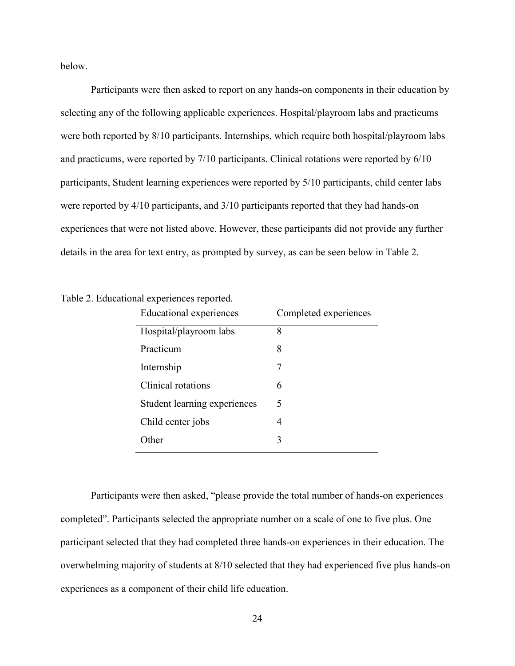below.

Participants were then asked to report on any hands-on components in their education by selecting any of the following applicable experiences. Hospital/playroom labs and practicums were both reported by 8/10 participants. Internships, which require both hospital/playroom labs and practicums, were reported by 7/10 participants. Clinical rotations were reported by 6/10 participants, Student learning experiences were reported by 5/10 participants, child center labs were reported by 4/10 participants, and 3/10 participants reported that they had hands-on experiences that were not listed above. However, these participants did not provide any further details in the area for text entry, as prompted by survey, as can be seen below in Table 2.

|  | Table 2. Educational experiences reported. |  |
|--|--------------------------------------------|--|

| <b>Educational experiences</b> | Completed experiences |
|--------------------------------|-----------------------|
| Hospital/playroom labs         | 8                     |
| Practicum                      | 8                     |
| Internship                     |                       |
| Clinical rotations             | 6                     |
| Student learning experiences   | 5                     |
| Child center jobs              | 4                     |
| ∩ther                          | 3                     |

Participants were then asked, "please provide the total number of hands-on experiences completed". Participants selected the appropriate number on a scale of one to five plus. One participant selected that they had completed three hands-on experiences in their education. The overwhelming majority of students at 8/10 selected that they had experienced five plus hands-on experiences as a component of their child life education.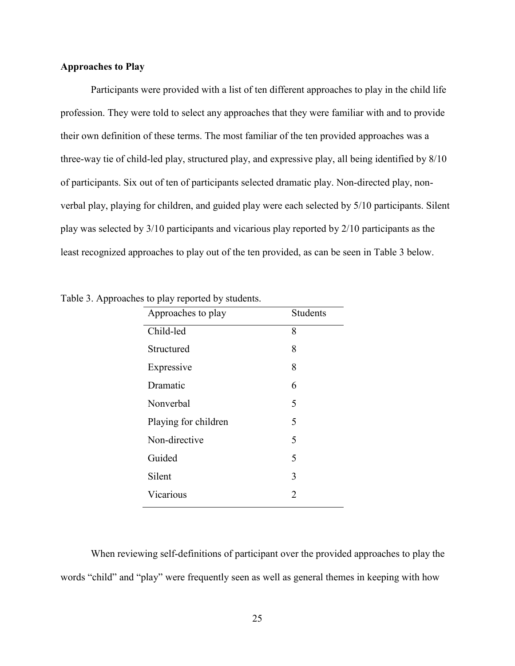### **Approaches to Play**

Participants were provided with a list of ten different approaches to play in the child life profession. They were told to select any approaches that they were familiar with and to provide their own definition of these terms. The most familiar of the ten provided approaches was a three-way tie of child-led play, structured play, and expressive play, all being identified by 8/10 of participants. Six out of ten of participants selected dramatic play. Non-directed play, nonverbal play, playing for children, and guided play were each selected by 5/10 participants. Silent play was selected by 3/10 participants and vicarious play reported by 2/10 participants as the least recognized approaches to play out of the ten provided, as can be seen in Table 3 below.

| Approaches to play   | <b>Students</b> |
|----------------------|-----------------|
| Child-led            | 8               |
| Structured           | 8               |
| Expressive           | 8               |
| Dramatic             | 6               |
| Nonverbal            | 5               |
| Playing for children | 5               |
| Non-directive        | 5               |
| Guided               | 5               |
| Silent               | 3               |
| Vicarious            | 2               |
|                      |                 |

Table 3. Approaches to play reported by students.

When reviewing self-definitions of participant over the provided approaches to play the words "child" and "play" were frequently seen as well as general themes in keeping with how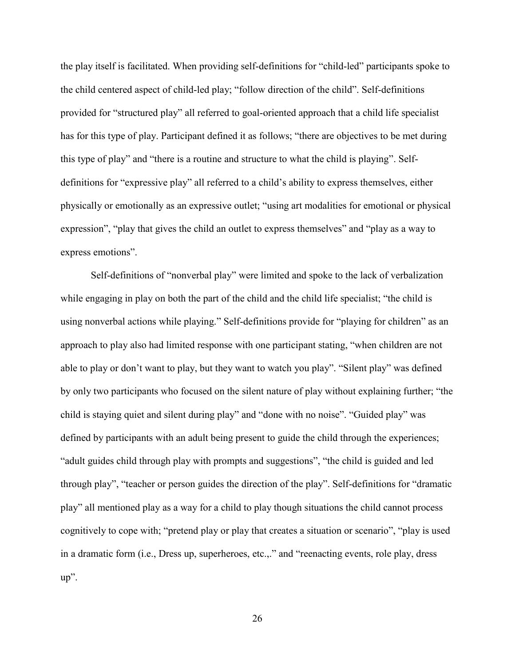the play itself is facilitated. When providing self-definitions for "child-led" participants spoke to the child centered aspect of child-led play; "follow direction of the child". Self-definitions provided for "structured play" all referred to goal-oriented approach that a child life specialist has for this type of play. Participant defined it as follows; "there are objectives to be met during this type of play" and "there is a routine and structure to what the child is playing". Selfdefinitions for "expressive play" all referred to a child's ability to express themselves, either physically or emotionally as an expressive outlet; "using art modalities for emotional or physical expression", "play that gives the child an outlet to express themselves" and "play as a way to express emotions".

Self-definitions of "nonverbal play" were limited and spoke to the lack of verbalization while engaging in play on both the part of the child and the child life specialist; "the child is using nonverbal actions while playing." Self-definitions provide for "playing for children" as an approach to play also had limited response with one participant stating, "when children are not able to play or don't want to play, but they want to watch you play". "Silent play" was defined by only two participants who focused on the silent nature of play without explaining further; "the child is staying quiet and silent during play" and "done with no noise". "Guided play" was defined by participants with an adult being present to guide the child through the experiences; "adult guides child through play with prompts and suggestions", "the child is guided and led through play", "teacher or person guides the direction of the play". Self-definitions for "dramatic play" all mentioned play as a way for a child to play though situations the child cannot process cognitively to cope with; "pretend play or play that creates a situation or scenario", "play is used in a dramatic form (i.e., Dress up, superheroes, etc.,." and "reenacting events, role play, dress up".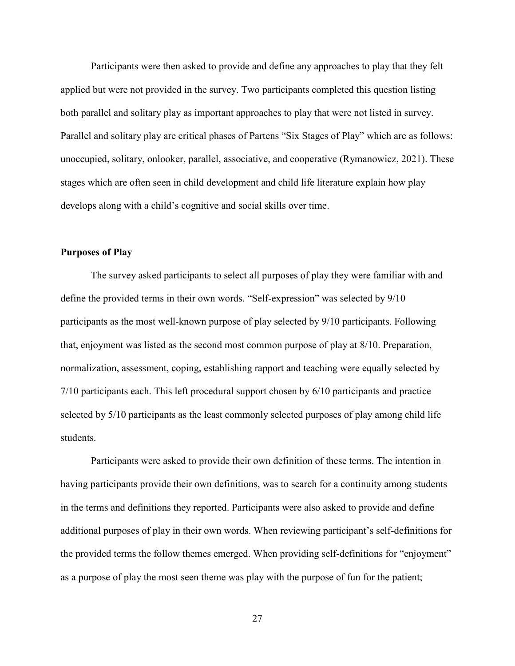Participants were then asked to provide and define any approaches to play that they felt applied but were not provided in the survey. Two participants completed this question listing both parallel and solitary play as important approaches to play that were not listed in survey. Parallel and solitary play are critical phases of Partens "Six Stages of Play" which are as follows: unoccupied, solitary, onlooker, parallel, associative, and cooperative (Rymanowicz, 2021). These stages which are often seen in child development and child life literature explain how play develops along with a child's cognitive and social skills over time.

#### **Purposes of Play**

The survey asked participants to select all purposes of play they were familiar with and define the provided terms in their own words. "Self-expression" was selected by 9/10 participants as the most well-known purpose of play selected by 9/10 participants. Following that, enjoyment was listed as the second most common purpose of play at 8/10. Preparation, normalization, assessment, coping, establishing rapport and teaching were equally selected by 7/10 participants each. This left procedural support chosen by 6/10 participants and practice selected by 5/10 participants as the least commonly selected purposes of play among child life students.

Participants were asked to provide their own definition of these terms. The intention in having participants provide their own definitions, was to search for a continuity among students in the terms and definitions they reported. Participants were also asked to provide and define additional purposes of play in their own words. When reviewing participant's self-definitions for the provided terms the follow themes emerged. When providing self-definitions for "enjoyment" as a purpose of play the most seen theme was play with the purpose of fun for the patient;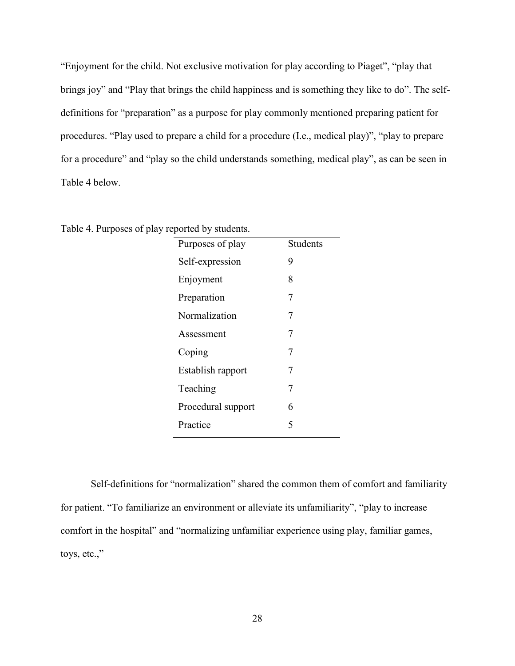"Enjoyment for the child. Not exclusive motivation for play according to Piaget", "play that brings joy" and "Play that brings the child happiness and is something they like to do". The selfdefinitions for "preparation" as a purpose for play commonly mentioned preparing patient for procedures. "Play used to prepare a child for a procedure (I.e., medical play)", "play to prepare for a procedure" and "play so the child understands something, medical play", as can be seen in Table 4 below.

| Purposes of play   | <b>Students</b> |
|--------------------|-----------------|
| Self-expression    | 9               |
| Enjoyment          | 8               |
| Preparation        | 7               |
| Normalization      | 7               |
| Assessment         | 7               |
| Coping             | 7               |
| Establish rapport  | 7               |
| Teaching           | 7               |
| Procedural support | 6               |
| Practice           | 5               |

Table 4. Purposes of play reported by students.

Self-definitions for "normalization" shared the common them of comfort and familiarity for patient. "To familiarize an environment or alleviate its unfamiliarity", "play to increase comfort in the hospital" and "normalizing unfamiliar experience using play, familiar games, toys, etc.,"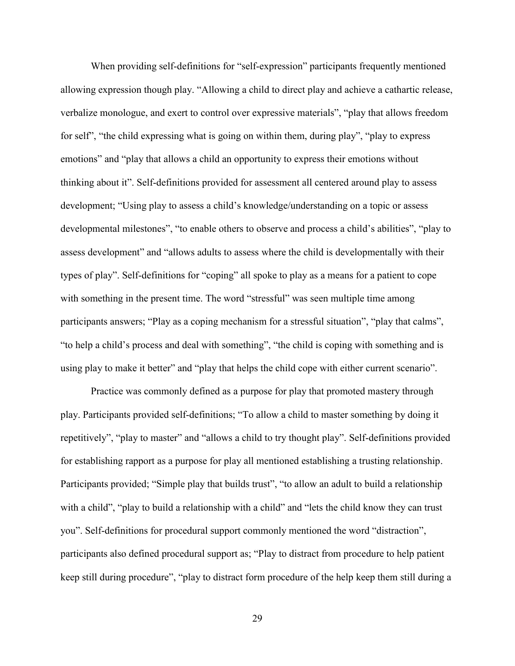When providing self-definitions for "self-expression" participants frequently mentioned allowing expression though play. "Allowing a child to direct play and achieve a cathartic release, verbalize monologue, and exert to control over expressive materials", "play that allows freedom for self", "the child expressing what is going on within them, during play", "play to express emotions" and "play that allows a child an opportunity to express their emotions without thinking about it". Self-definitions provided for assessment all centered around play to assess development; "Using play to assess a child's knowledge/understanding on a topic or assess developmental milestones", "to enable others to observe and process a child's abilities", "play to assess development" and "allows adults to assess where the child is developmentally with their types of play". Self-definitions for "coping" all spoke to play as a means for a patient to cope with something in the present time. The word "stressful" was seen multiple time among participants answers; "Play as a coping mechanism for a stressful situation", "play that calms", "to help a child's process and deal with something", "the child is coping with something and is using play to make it better" and "play that helps the child cope with either current scenario".

Practice was commonly defined as a purpose for play that promoted mastery through play. Participants provided self-definitions; "To allow a child to master something by doing it repetitively", "play to master" and "allows a child to try thought play". Self-definitions provided for establishing rapport as a purpose for play all mentioned establishing a trusting relationship. Participants provided; "Simple play that builds trust", "to allow an adult to build a relationship with a child", "play to build a relationship with a child" and "lets the child know they can trust you". Self-definitions for procedural support commonly mentioned the word "distraction", participants also defined procedural support as; "Play to distract from procedure to help patient keep still during procedure", "play to distract form procedure of the help keep them still during a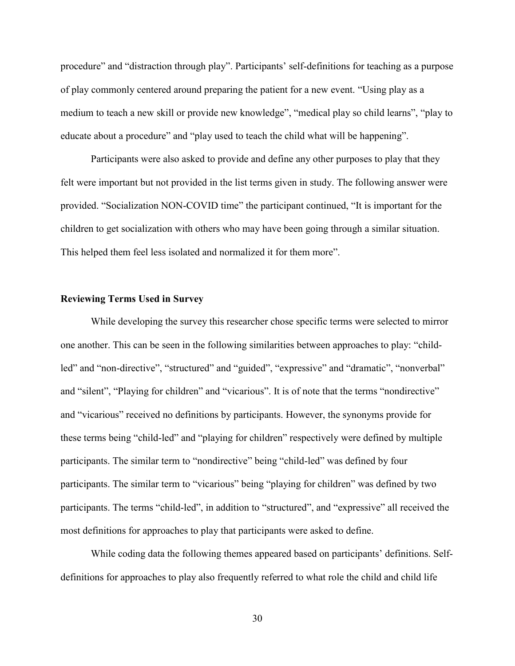procedure" and "distraction through play". Participants' self-definitions for teaching as a purpose of play commonly centered around preparing the patient for a new event. "Using play as a medium to teach a new skill or provide new knowledge", "medical play so child learns", "play to educate about a procedure" and "play used to teach the child what will be happening".

Participants were also asked to provide and define any other purposes to play that they felt were important but not provided in the list terms given in study. The following answer were provided. "Socialization NON-COVID time" the participant continued, "It is important for the children to get socialization with others who may have been going through a similar situation. This helped them feel less isolated and normalized it for them more".

#### **Reviewing Terms Used in Survey**

While developing the survey this researcher chose specific terms were selected to mirror one another. This can be seen in the following similarities between approaches to play: "childled" and "non-directive", "structured" and "guided", "expressive" and "dramatic", "nonverbal" and "silent", "Playing for children" and "vicarious". It is of note that the terms "nondirective" and "vicarious" received no definitions by participants. However, the synonyms provide for these terms being "child-led" and "playing for children" respectively were defined by multiple participants. The similar term to "nondirective" being "child-led" was defined by four participants. The similar term to "vicarious" being "playing for children" was defined by two participants. The terms "child-led", in addition to "structured", and "expressive" all received the most definitions for approaches to play that participants were asked to define.

While coding data the following themes appeared based on participants' definitions. Selfdefinitions for approaches to play also frequently referred to what role the child and child life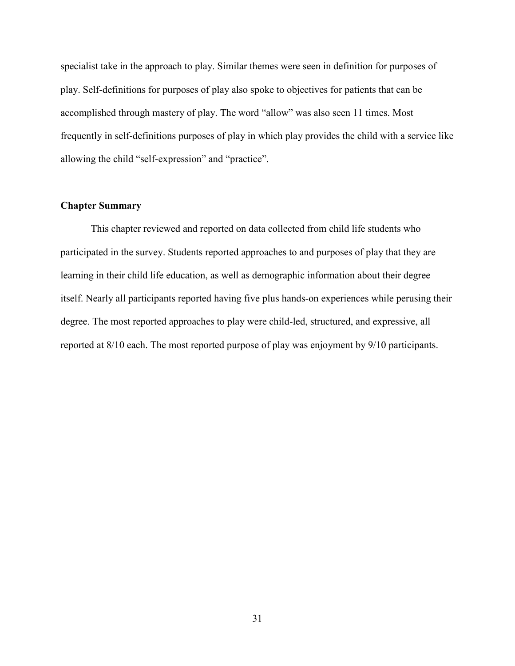specialist take in the approach to play. Similar themes were seen in definition for purposes of play. Self-definitions for purposes of play also spoke to objectives for patients that can be accomplished through mastery of play. The word "allow" was also seen 11 times. Most frequently in self-definitions purposes of play in which play provides the child with a service like allowing the child "self-expression" and "practice".

### **Chapter Summary**

This chapter reviewed and reported on data collected from child life students who participated in the survey. Students reported approaches to and purposes of play that they are learning in their child life education, as well as demographic information about their degree itself. Nearly all participants reported having five plus hands-on experiences while perusing their degree. The most reported approaches to play were child-led, structured, and expressive, all reported at 8/10 each. The most reported purpose of play was enjoyment by 9/10 participants.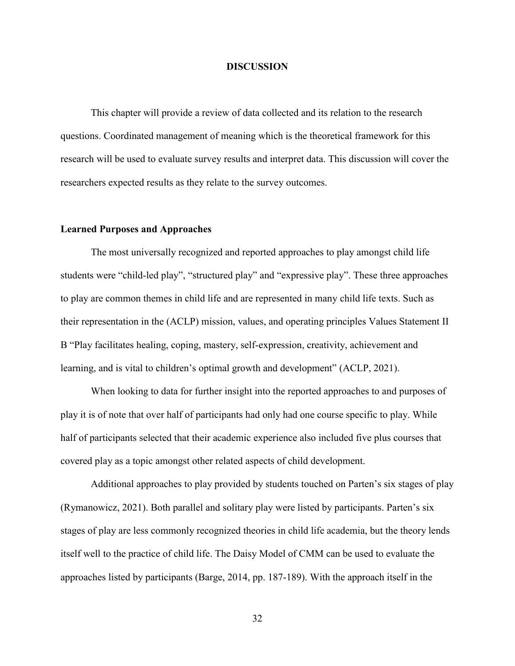#### **DISCUSSION**

This chapter will provide a review of data collected and its relation to the research questions. Coordinated management of meaning which is the theoretical framework for this research will be used to evaluate survey results and interpret data. This discussion will cover the researchers expected results as they relate to the survey outcomes.

#### **Learned Purposes and Approaches**

The most universally recognized and reported approaches to play amongst child life students were "child-led play", "structured play" and "expressive play". These three approaches to play are common themes in child life and are represented in many child life texts. Such as their representation in the (ACLP) mission, values, and operating principles Values Statement II B "Play facilitates healing, coping, mastery, self-expression, creativity, achievement and learning, and is vital to children's optimal growth and development" (ACLP, 2021).

When looking to data for further insight into the reported approaches to and purposes of play it is of note that over half of participants had only had one course specific to play. While half of participants selected that their academic experience also included five plus courses that covered play as a topic amongst other related aspects of child development.

Additional approaches to play provided by students touched on Parten's six stages of play (Rymanowicz, 2021). Both parallel and solitary play were listed by participants. Parten's six stages of play are less commonly recognized theories in child life academia, but the theory lends itself well to the practice of child life. The Daisy Model of CMM can be used to evaluate the approaches listed by participants (Barge, 2014, pp. 187-189). With the approach itself in the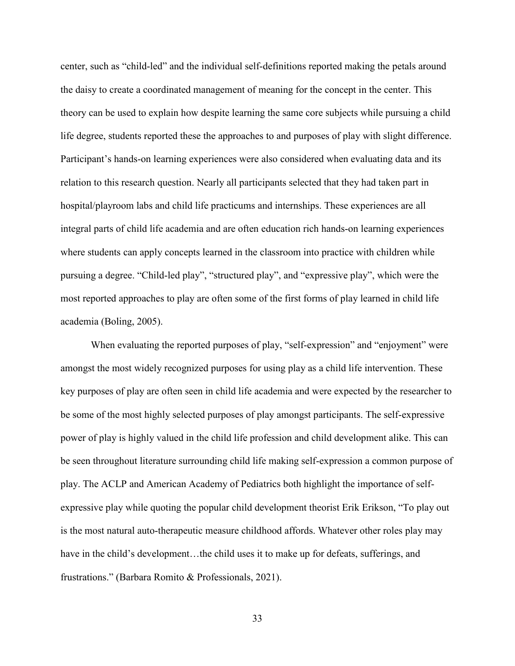center, such as "child-led" and the individual self-definitions reported making the petals around the daisy to create a coordinated management of meaning for the concept in the center. This theory can be used to explain how despite learning the same core subjects while pursuing a child life degree, students reported these the approaches to and purposes of play with slight difference. Participant's hands-on learning experiences were also considered when evaluating data and its relation to this research question. Nearly all participants selected that they had taken part in hospital/playroom labs and child life practicums and internships. These experiences are all integral parts of child life academia and are often education rich hands-on learning experiences where students can apply concepts learned in the classroom into practice with children while pursuing a degree. "Child-led play", "structured play", and "expressive play", which were the most reported approaches to play are often some of the first forms of play learned in child life academia (Boling, 2005).

When evaluating the reported purposes of play, "self-expression" and "enjoyment" were amongst the most widely recognized purposes for using play as a child life intervention. These key purposes of play are often seen in child life academia and were expected by the researcher to be some of the most highly selected purposes of play amongst participants. The self-expressive power of play is highly valued in the child life profession and child development alike. This can be seen throughout literature surrounding child life making self-expression a common purpose of play. The ACLP and American Academy of Pediatrics both highlight the importance of selfexpressive play while quoting the popular child development theorist Erik Erikson, "To play out is the most natural auto-therapeutic measure childhood affords. Whatever other roles play may have in the child's development...the child uses it to make up for defeats, sufferings, and frustrations." (Barbara Romito & Professionals, 2021).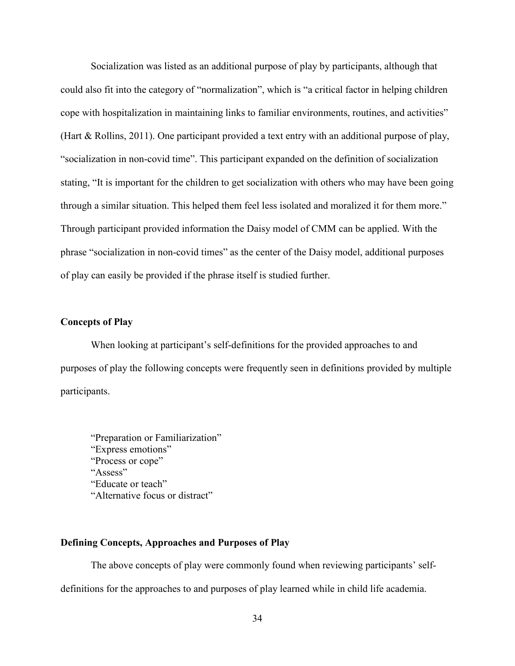Socialization was listed as an additional purpose of play by participants, although that could also fit into the category of "normalization", which is "a critical factor in helping children cope with hospitalization in maintaining links to familiar environments, routines, and activities" (Hart & Rollins, 2011). One participant provided a text entry with an additional purpose of play, "socialization in non-covid time". This participant expanded on the definition of socialization stating, "It is important for the children to get socialization with others who may have been going through a similar situation. This helped them feel less isolated and moralized it for them more." Through participant provided information the Daisy model of CMM can be applied. With the phrase "socialization in non-covid times" as the center of the Daisy model, additional purposes of play can easily be provided if the phrase itself is studied further.

### **Concepts of Play**

When looking at participant's self-definitions for the provided approaches to and purposes of play the following concepts were frequently seen in definitions provided by multiple participants.

"Preparation or Familiarization" "Express emotions" "Process or cope" "Assess" "Educate or teach" "Alternative focus or distract"

#### **Defining Concepts, Approaches and Purposes of Play**

The above concepts of play were commonly found when reviewing participants' selfdefinitions for the approaches to and purposes of play learned while in child life academia.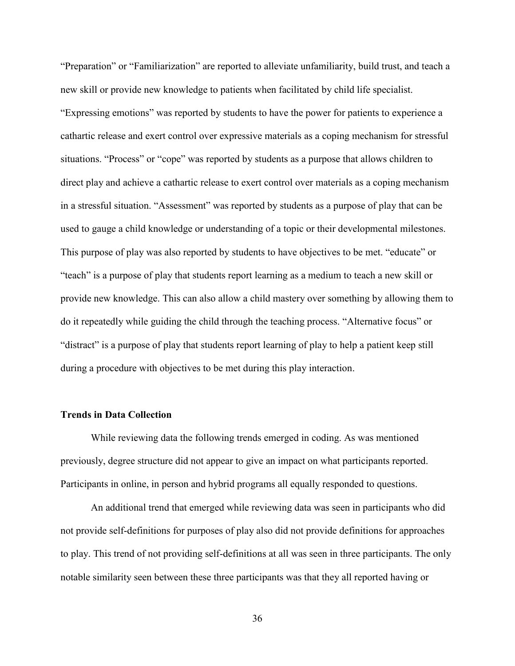"Preparation" or "Familiarization" are reported to alleviate unfamiliarity, build trust, and teach a new skill or provide new knowledge to patients when facilitated by child life specialist. "Expressing emotions" was reported by students to have the power for patients to experience a cathartic release and exert control over expressive materials as a coping mechanism for stressful situations. "Process" or "cope" was reported by students as a purpose that allows children to direct play and achieve a cathartic release to exert control over materials as a coping mechanism in a stressful situation. "Assessment" was reported by students as a purpose of play that can be used to gauge a child knowledge or understanding of a topic or their developmental milestones. This purpose of play was also reported by students to have objectives to be met. "educate" or "teach" is a purpose of play that students report learning as a medium to teach a new skill or provide new knowledge. This can also allow a child mastery over something by allowing them to do it repeatedly while guiding the child through the teaching process. "Alternative focus" or "distract" is a purpose of play that students report learning of play to help a patient keep still during a procedure with objectives to be met during this play interaction.

#### **Trends in Data Collection**

While reviewing data the following trends emerged in coding. As was mentioned previously, degree structure did not appear to give an impact on what participants reported. Participants in online, in person and hybrid programs all equally responded to questions.

An additional trend that emerged while reviewing data was seen in participants who did not provide self-definitions for purposes of play also did not provide definitions for approaches to play. This trend of not providing self-definitions at all was seen in three participants. The only notable similarity seen between these three participants was that they all reported having or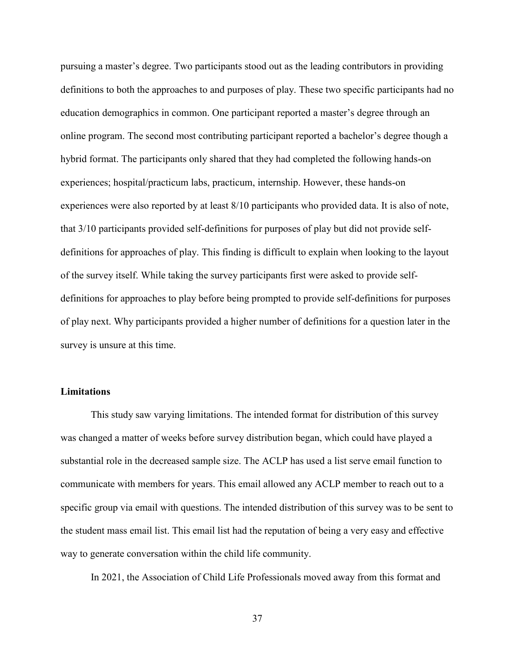pursuing a master's degree. Two participants stood out as the leading contributors in providing definitions to both the approaches to and purposes of play. These two specific participants had no education demographics in common. One participant reported a master's degree through an online program. The second most contributing participant reported a bachelor's degree though a hybrid format. The participants only shared that they had completed the following hands-on experiences; hospital/practicum labs, practicum, internship. However, these hands-on experiences were also reported by at least 8/10 participants who provided data. It is also of note, that 3/10 participants provided self-definitions for purposes of play but did not provide selfdefinitions for approaches of play. This finding is difficult to explain when looking to the layout of the survey itself. While taking the survey participants first were asked to provide selfdefinitions for approaches to play before being prompted to provide self-definitions for purposes of play next. Why participants provided a higher number of definitions for a question later in the survey is unsure at this time.

#### **Limitations**

This study saw varying limitations. The intended format for distribution of this survey was changed a matter of weeks before survey distribution began, which could have played a substantial role in the decreased sample size. The ACLP has used a list serve email function to communicate with members for years. This email allowed any ACLP member to reach out to a specific group via email with questions. The intended distribution of this survey was to be sent to the student mass email list. This email list had the reputation of being a very easy and effective way to generate conversation within the child life community.

In 2021, the Association of Child Life Professionals moved away from this format and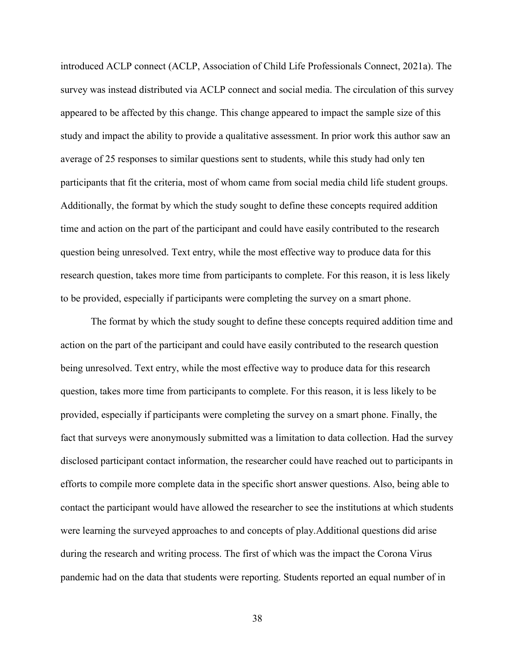introduced ACLP connect (ACLP, Association of Child Life Professionals Connect, 2021a). The survey was instead distributed via ACLP connect and social media. The circulation of this survey appeared to be affected by this change. This change appeared to impact the sample size of this study and impact the ability to provide a qualitative assessment. In prior work this author saw an average of 25 responses to similar questions sent to students, while this study had only ten participants that fit the criteria, most of whom came from social media child life student groups. Additionally, the format by which the study sought to define these concepts required addition time and action on the part of the participant and could have easily contributed to the research question being unresolved. Text entry, while the most effective way to produce data for this research question, takes more time from participants to complete. For this reason, it is less likely to be provided, especially if participants were completing the survey on a smart phone.

The format by which the study sought to define these concepts required addition time and action on the part of the participant and could have easily contributed to the research question being unresolved. Text entry, while the most effective way to produce data for this research question, takes more time from participants to complete. For this reason, it is less likely to be provided, especially if participants were completing the survey on a smart phone. Finally, the fact that surveys were anonymously submitted was a limitation to data collection. Had the survey disclosed participant contact information, the researcher could have reached out to participants in efforts to compile more complete data in the specific short answer questions. Also, being able to contact the participant would have allowed the researcher to see the institutions at which students were learning the surveyed approaches to and concepts of play.Additional questions did arise during the research and writing process. The first of which was the impact the Corona Virus pandemic had on the data that students were reporting. Students reported an equal number of in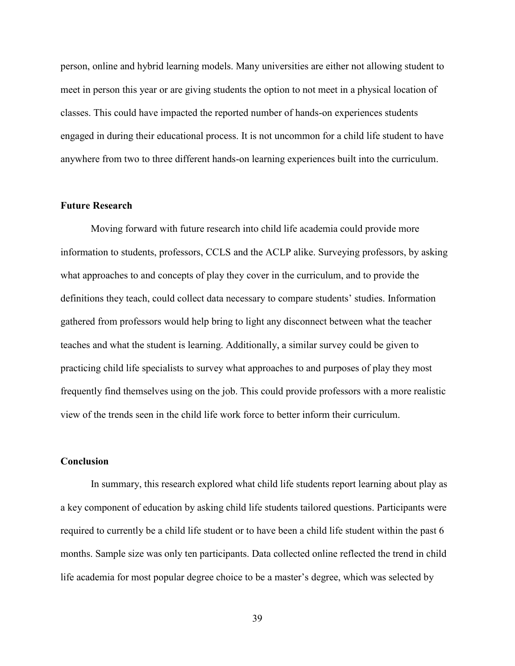person, online and hybrid learning models. Many universities are either not allowing student to meet in person this year or are giving students the option to not meet in a physical location of classes. This could have impacted the reported number of hands-on experiences students engaged in during their educational process. It is not uncommon for a child life student to have anywhere from two to three different hands-on learning experiences built into the curriculum.

#### **Future Research**

Moving forward with future research into child life academia could provide more information to students, professors, CCLS and the ACLP alike. Surveying professors, by asking what approaches to and concepts of play they cover in the curriculum, and to provide the definitions they teach, could collect data necessary to compare students' studies. Information gathered from professors would help bring to light any disconnect between what the teacher teaches and what the student is learning. Additionally, a similar survey could be given to practicing child life specialists to survey what approaches to and purposes of play they most frequently find themselves using on the job. This could provide professors with a more realistic view of the trends seen in the child life work force to better inform their curriculum.

#### **Conclusion**

In summary, this research explored what child life students report learning about play as a key component of education by asking child life students tailored questions. Participants were required to currently be a child life student or to have been a child life student within the past 6 months. Sample size was only ten participants. Data collected online reflected the trend in child life academia for most popular degree choice to be a master's degree, which was selected by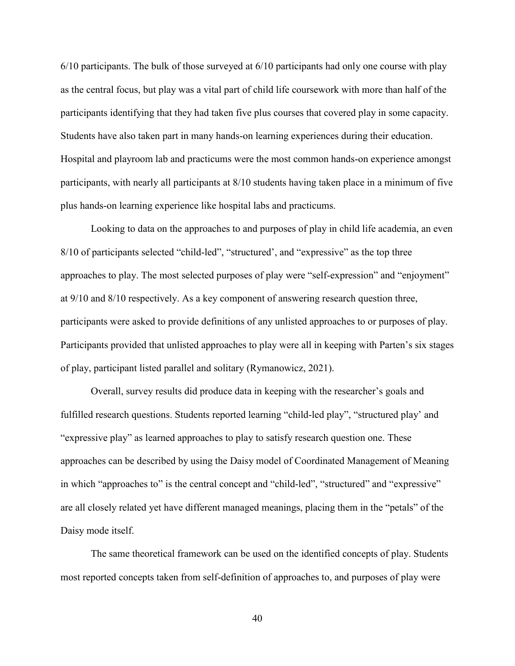6/10 participants. The bulk of those surveyed at 6/10 participants had only one course with play as the central focus, but play was a vital part of child life coursework with more than half of the participants identifying that they had taken five plus courses that covered play in some capacity. Students have also taken part in many hands-on learning experiences during their education. Hospital and playroom lab and practicums were the most common hands-on experience amongst participants, with nearly all participants at 8/10 students having taken place in a minimum of five plus hands-on learning experience like hospital labs and practicums.

Looking to data on the approaches to and purposes of play in child life academia, an even 8/10 of participants selected "child-led", "structured', and "expressive" as the top three approaches to play. The most selected purposes of play were "self-expression" and "enjoyment" at 9/10 and 8/10 respectively. As a key component of answering research question three, participants were asked to provide definitions of any unlisted approaches to or purposes of play. Participants provided that unlisted approaches to play were all in keeping with Parten's six stages of play, participant listed parallel and solitary (Rymanowicz, 2021).

Overall, survey results did produce data in keeping with the researcher's goals and fulfilled research questions. Students reported learning "child-led play", "structured play' and "expressive play" as learned approaches to play to satisfy research question one. These approaches can be described by using the Daisy model of Coordinated Management of Meaning in which "approaches to" is the central concept and "child-led", "structured" and "expressive" are all closely related yet have different managed meanings, placing them in the "petals" of the Daisy mode itself.

The same theoretical framework can be used on the identified concepts of play. Students most reported concepts taken from self-definition of approaches to, and purposes of play were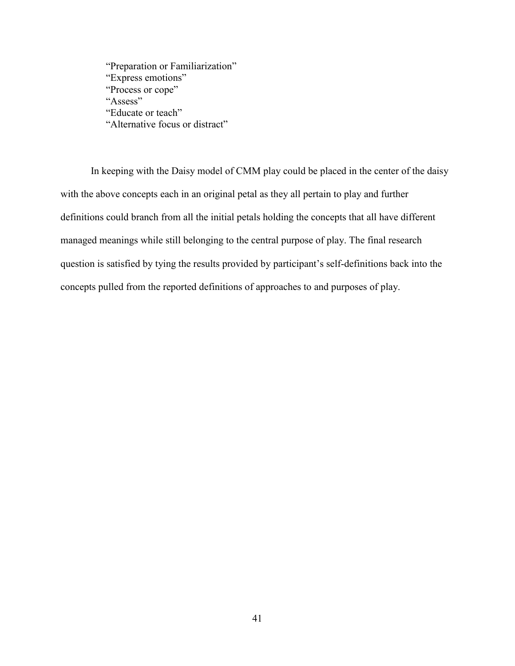"Preparation or Familiarization" "Express emotions" "Process or cope" "Assess" "Educate or teach" "Alternative focus or distract"

In keeping with the Daisy model of CMM play could be placed in the center of the daisy with the above concepts each in an original petal as they all pertain to play and further definitions could branch from all the initial petals holding the concepts that all have different managed meanings while still belonging to the central purpose of play. The final research question is satisfied by tying the results provided by participant's self-definitions back into the concepts pulled from the reported definitions of approaches to and purposes of play.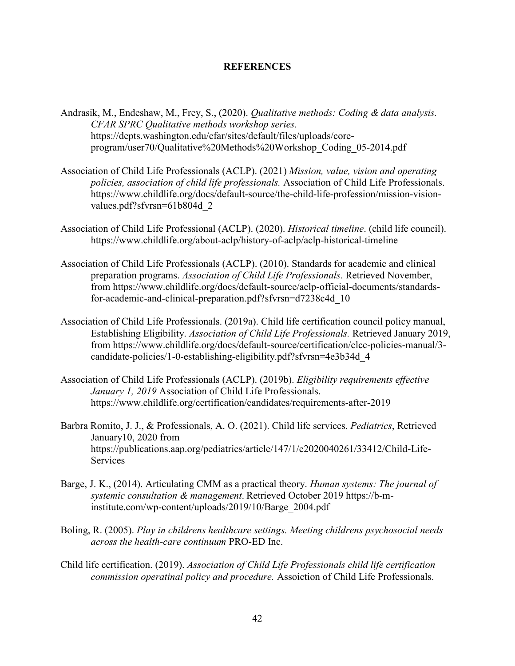#### **REFERENCES**

- Andrasik, M., Endeshaw, M., Frey, S., (2020). *Qualitative methods: Coding & data analysis. CFAR SPRC Qualitative methods workshop series.* [https://depts.washington.edu/cfar/sites/default/files/uploads/core](https://depts.washington.edu/cfar/sites/default/files/uploads/core-program/user70/Qualitative%20Methods%20Workshop_Coding_05-2014.pdf)[program/user70/Qualitative%20Methods%20Workshop\\_Coding\\_05-2014.pdf](https://depts.washington.edu/cfar/sites/default/files/uploads/core-program/user70/Qualitative%20Methods%20Workshop_Coding_05-2014.pdf)
- Association of Child Life Professionals (ACLP). (2021) *Mission, value, vision and operating policies, association of child life professionals.* Association of Child Life Professionals. [https://www.childlife.org/docs/default-source/the-child-life-profession/mission-vision](https://www.childlife.org/docs/default-source/the-child-life-profession/mission-vision-values.pdf?sfvrsn=61b804d_2)[values.pdf?sfvrsn=61b804d\\_2](https://www.childlife.org/docs/default-source/the-child-life-profession/mission-vision-values.pdf?sfvrsn=61b804d_2)
- Association of Child Life Professional (ACLP). (2020). *Historical timeline*. (child life council). <https://www.childlife.org/about-aclp/history-of-aclp/aclp-historical-timeline>
- Association of Child Life Professionals (ACLP). (2010). Standards for academic and clinical preparation programs. *Association of Child Life Professionals*. Retrieved November, from https://www.childlife.org/docs/default-source/aclp-official-documents/standardsfor-academic-and-clinical-preparation.pdf?sfvrsn=d7238c4d\_10
- Association of Child Life Professionals. (2019a). Child life certification council policy manual, Establishing Eligibility. *Association of Child Life Professionals.* Retrieved January 2019, from [https://www.childlife.org/docs/default-source/certification/clcc-policies-manual/3](https://www.childlife.org/docs/default-source/certification/clcc-policies-manual/3-candidate-policies/1-0-establishing-eligibility.pdf?sfvrsn=4e3b34d_4) [candidate-policies/1-0-establishing-eligibility.pdf?sfvrsn=4e3b34d\\_4](https://www.childlife.org/docs/default-source/certification/clcc-policies-manual/3-candidate-policies/1-0-establishing-eligibility.pdf?sfvrsn=4e3b34d_4)
- Association of Child Life Professionals (ACLP). (2019b). *Eligibility requirements effective January 1, 2019* Association of Child Life Professionals. <https://www.childlife.org/certification/candidates/requirements-after-2019>
- Barbra Romito, J. J., & Professionals, A. O. (2021). Child life services. *Pediatrics*, Retrieved January10, 2020 from https://publications.aap.org/pediatrics/article/147/1/e2020040261/33412/Child-Life-Services
- Barge, J. K., (2014). Articulating CMM as a practical theory. *Human systems: The journal of systemic consultation & management*. Retrieved October 2019 https://b-minstitute.com/wp-content/uploads/2019/10/Barge\_2004.pdf
- Boling, R. (2005). *Play in childrens healthcare settings. Meeting childrens psychosocial needs across the health-care continuum* PRO-ED Inc.
- Child life certification. (2019). *Association of Child Life Professionals child life certification commission operatinal policy and procedure.* Assoiction of Child Life Professionals.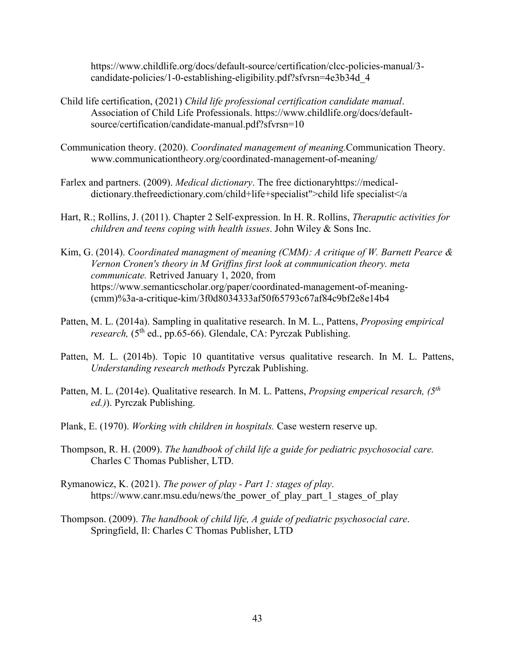https://www.childlife.org/docs/default-source/certification/clcc-policies-manual/3 candidate-policies/1-0-establishing-eligibility.pdf?sfvrsn=4e3b34d\_4

- Child life certification, (2021) *Child life professional certification candidate manual*. Association of Child Life Professionals. https://www.childlife.org/docs/defaultsource/certification/candidate-manual.pdf?sfvrsn=10
- Communication theory. (2020). *Coordinated management of meaning.*Communication Theory. www.communicationtheory.org/coordinated-management-of-meaning/
- Farlex and partners. (2009). *Medical dictionary*. The free dictionaryhttps://medicaldictionary.thefreedictionary.com/child+life+specialist">child life specialist</a
- Hart, R.; Rollins, J. (2011). Chapter 2 Self-expression. In H. R. Rollins, *Theraputic activities for children and teens coping with health issues*. John Wiley & Sons Inc.
- Kim, G. (2014). *Coordinated managment of meaning (CMM): A critique of W. Barnett Pearce & Vernon Cronen's theory in M Griffins first look at communication theory. meta communicate.* Retrived January 1, 2020, from https://www.semanticscholar.org/paper/coordinated-management-of-meaning- (cmm)%3a-a-critique-kim/3f0d8034333af50f65793c67af84c9bf2e8e14b4
- Patten, M. L. (2014a). Sampling in qualitative research. In M. L., Pattens, *Proposing empirical research,* (5<sup>th</sup> ed., pp.65-66). Glendale, CA: Pyrczak Publishing.
- Patten, M. L. (2014b). Topic 10 quantitative versus qualitative research. In M. L. Pattens, *Understanding research methods* Pyrczak Publishing.
- Patten, M. L. (2014e). Qualitative research. In M. L. Pattens, *Propsing emperical resarch, (5th ed.)*). Pyrczak Publishing.
- Plank, E. (1970). *Working with children in hospitals.* Case western reserve up.
- Thompson, R. H. (2009). *The handbook of child life a guide for pediatric psychosocial care.* Charles C Thomas Publisher, LTD.
- Rymanowicz, K. (2021). *The power of play - Part 1: stages of play*. https://www.canr.msu.edu/news/the\_power\_of\_play\_part\_1\_stages\_of\_play
- Thompson. (2009). *The handbook of child life, A guide of pediatric psychosocial care*. Springfield, Il: Charles C Thomas Publisher, LTD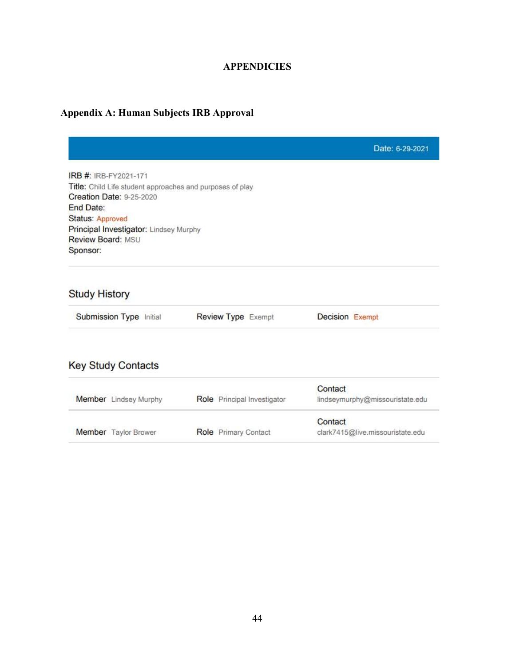## **APPENDICIES**

## **Appendix A: Human Subjects IRB Approval**

|                                                           |                             | Date: 6-29-2021                  |
|-----------------------------------------------------------|-----------------------------|----------------------------------|
| IRB #: IRB-FY2021-171                                     |                             |                                  |
| Title: Child Life student approaches and purposes of play |                             |                                  |
| <b>Creation Date: 9-25-2020</b>                           |                             |                                  |
| <b>End Date:</b>                                          |                             |                                  |
| Status: Approved                                          |                             |                                  |
| Principal Investigator: Lindsey Murphy                    |                             |                                  |
| Review Board: MSU                                         |                             |                                  |
| Sponsor:                                                  |                             |                                  |
| <b>Study History</b><br>Submission Type Initial           | <b>Review Type Exempt</b>   | <b>Decision Exempt</b>           |
| <b>Key Study Contacts</b>                                 |                             |                                  |
|                                                           |                             | Contact                          |
| Member Lindsey Murphy                                     | Role Principal Investigator | lindseymurphy@missouristate.edu  |
|                                                           |                             | Contact                          |
| Member Taylor Brower                                      | Role Primary Contact        | clark7415@live.missouristate.edu |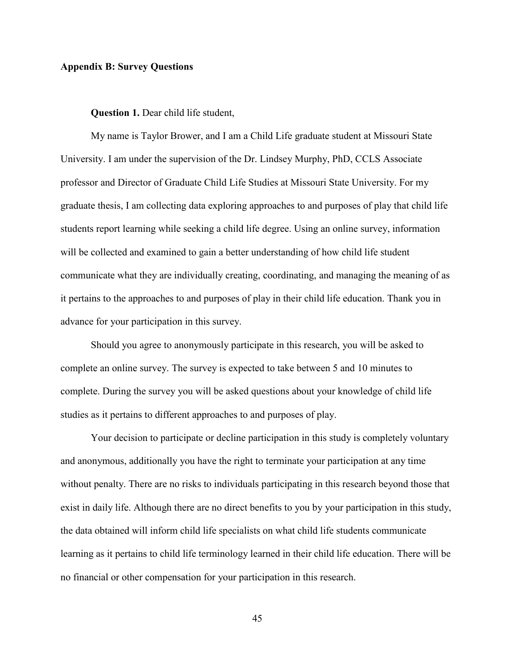#### **Appendix B: Survey Questions**

#### **Question 1.** Dear child life student,

My name is Taylor Brower, and I am a Child Life graduate student at Missouri State University. I am under the supervision of the Dr. Lindsey Murphy, PhD, CCLS Associate professor and Director of Graduate Child Life Studies at Missouri State University. For my graduate thesis, I am collecting data exploring approaches to and purposes of play that child life students report learning while seeking a child life degree. Using an online survey, information will be collected and examined to gain a better understanding of how child life student communicate what they are individually creating, coordinating, and managing the meaning of as it pertains to the approaches to and purposes of play in their child life education. Thank you in advance for your participation in this survey.

Should you agree to anonymously participate in this research, you will be asked to complete an online survey. The survey is expected to take between 5 and 10 minutes to complete. During the survey you will be asked questions about your knowledge of child life studies as it pertains to different approaches to and purposes of play.

Your decision to participate or decline participation in this study is completely voluntary and anonymous, additionally you have the right to terminate your participation at any time without penalty. There are no risks to individuals participating in this research beyond those that exist in daily life. Although there are no direct benefits to you by your participation in this study, the data obtained will inform child life specialists on what child life students communicate learning as it pertains to child life terminology learned in their child life education. There will be no financial or other compensation for your participation in this research.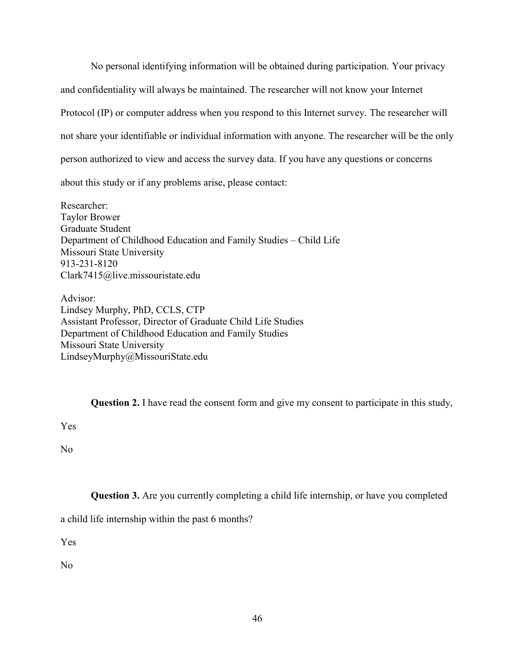No personal identifying information will be obtained during participation. Your privacy and confidentiality will always be maintained. The researcher will not know your Internet Protocol (IP) or computer address when you respond to this Internet survey. The researcher will not share your identifiable or individual information with anyone. The researcher will be the only person authorized to view and access the survey data. If you have any questions or concerns about this study or if any problems arise, please contact:

Researcher: Taylor Brower Graduate Student Department of Childhood Education and Family Studies – Child Life Missouri State University 913-231-8120 Clark7415@live.missouristate.edu

Advisor: Lindsey Murphy, PhD, CCLS, CTP Assistant Professor, Director of Graduate Child Life Studies Department of Childhood Education and Family Studies Missouri State University [LindseyMurphy@MissouriState.edu](mailto:LindseyMurphy@MissouriState.edu)

**Question 2.** I have read the consent form and give my consent to participate in this study,

Yes

No

**Question 3.** Are you currently completing a child life internship, or have you completed

a child life internship within the past 6 months?

Yes

No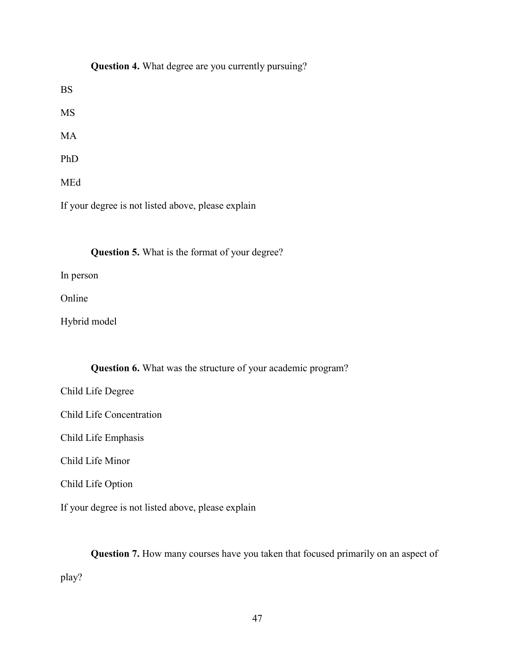|            | Question 4. What degree are you currently pursuing? |
|------------|-----------------------------------------------------|
| <b>BS</b>  |                                                     |
| <b>MS</b>  |                                                     |
| <b>MA</b>  |                                                     |
| PhD        |                                                     |
| <b>MEd</b> |                                                     |

If your degree is not listed above, please explain

## **Question 5.** What is the format of your degree?

In person

Online

Hybrid model

## **Question 6.** What was the structure of your academic program?

Child Life Degree

Child Life Concentration

Child Life Emphasis

Child Life Minor

Child Life Option

If your degree is not listed above, please explain

**Question 7.** How many courses have you taken that focused primarily on an aspect of play?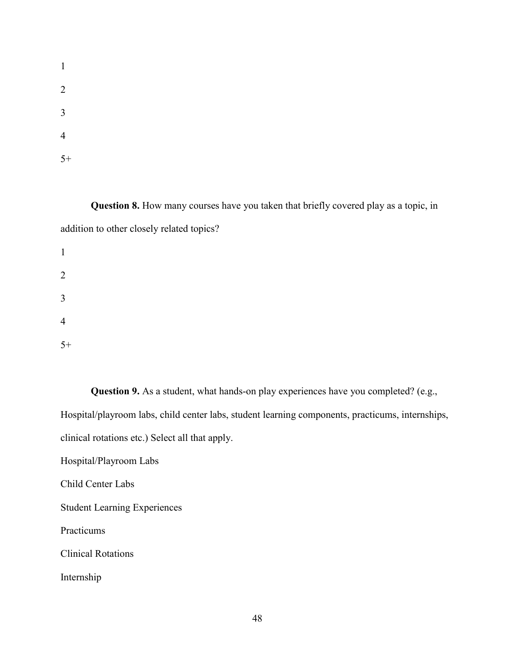**Question 8.** How many courses have you taken that briefly covered play as a topic, in addition to other closely related topics?

1 2 3 4 5+

**Question 9.** As a student, what hands-on play experiences have you completed? (e.g., Hospital/playroom labs, child center labs, student learning components, practicums, internships, clinical rotations etc.) Select all that apply.

Hospital/Playroom Labs

Child Center Labs

Student Learning Experiences

Practicums

Clinical Rotations

Internship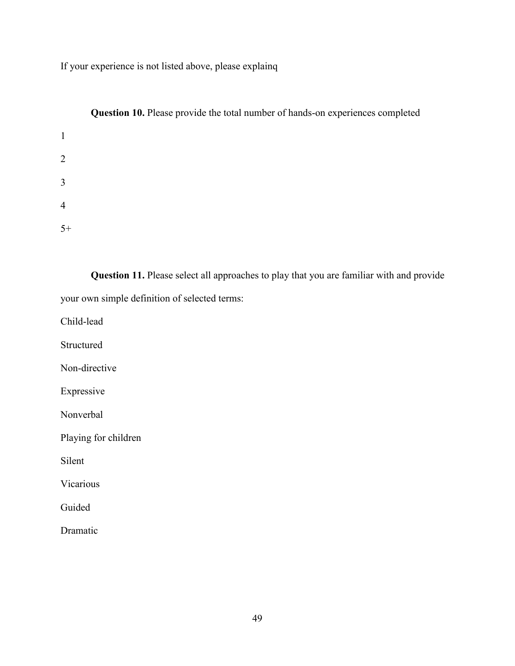If your experience is not listed above, please explainq

|                | Question 10. Please provide the total number of hands-on experiences completed |
|----------------|--------------------------------------------------------------------------------|
| $\mathbf{1}$   |                                                                                |
| $\overline{2}$ |                                                                                |
| 3              |                                                                                |
| $\overline{4}$ |                                                                                |
| $5+$           |                                                                                |

**Question 11.** Please select all approaches to play that you are familiar with and provide your own simple definition of selected terms:

Child-lead

Structured

Non-directive

Expressive

Nonverbal

Playing for children

Silent

Vicarious

Guided

Dramatic